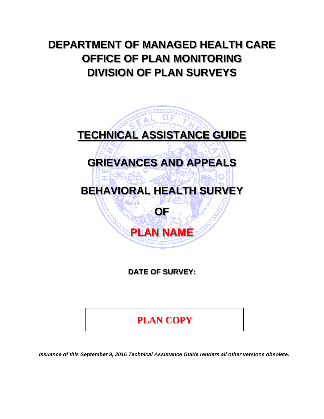# **DEPARTMENT OF MANAGED HEALTH CARE OFFICE OF PLAN MONITORING DIVISION OF PLAN SURVEYS**



**DATE OF SURVEY:** 

# **PLAN COPY**

*Issuance of this September 9, 2016 Technical Assistance Guide renders all other versions obsolete.*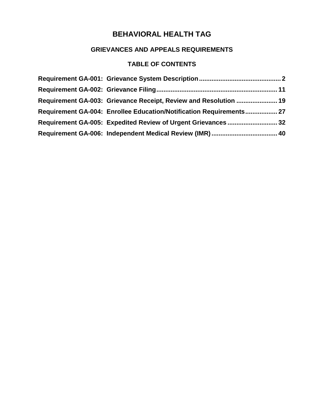## **GRIEVANCES AND APPEALS REQUIREMENTS**

## **TABLE OF CONTENTS**

| Requirement GA-003: Grievance Receipt, Review and Resolution  19    |  |
|---------------------------------------------------------------------|--|
| Requirement GA-004: Enrollee Education/Notification Requirements 27 |  |
|                                                                     |  |
|                                                                     |  |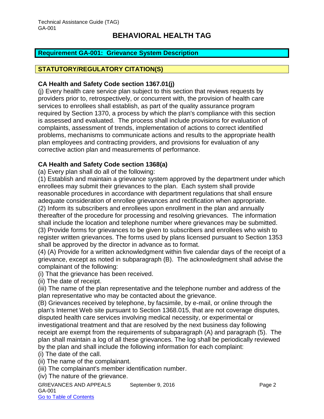### <span id="page-2-0"></span>**Requirement GA-001: Grievance System Description**

### **STATUTORY/REGULATORY CITATION(S)**

#### **CA Health and Safety Code section 1367.01(j)**

(j) Every health care service plan subject to this section that reviews requests by providers prior to, retrospectively, or concurrent with, the provision of health care services to enrollees shall establish, as part of the quality assurance program required by Section 1370, a process by which the plan's compliance with this section is assessed and evaluated. The process shall include provisions for evaluation of complaints, assessment of trends, implementation of actions to correct identified problems, mechanisms to communicate actions and results to the appropriate health plan employees and contracting providers, and provisions for evaluation of any corrective action plan and measurements of performance.

### **CA Health and Safety Code section 1368(a)**

(a) Every plan shall do all of the following:

(1) Establish and maintain a grievance system approved by the department under which enrollees may submit their grievances to the plan. Each system shall provide reasonable procedures in accordance with department regulations that shall ensure adequate consideration of enrollee grievances and rectification when appropriate. (2) Inform its subscribers and enrollees upon enrollment in the plan and annually

thereafter of the procedure for processing and resolving grievances. The information shall include the location and telephone number where grievances may be submitted. (3) Provide forms for grievances to be given to subscribers and enrollees who wish to register written grievances. The forms used by plans licensed pursuant to Section 1353

shall be approved by the director in advance as to format.

(4) (A) Provide for a written acknowledgment within five calendar days of the receipt of a grievance, except as noted in subparagraph (B). The acknowledgment shall advise the complainant of the following:

(i) That the grievance has been received.

(ii) The date of receipt.

(iii) The name of the plan representative and the telephone number and address of the plan representative who may be contacted about the grievance.

(B) Grievances received by telephone, by facsimile, by e-mail, or online through the plan's Internet Web site pursuant to Section 1368.015, that are not coverage disputes, disputed health care services involving medical necessity, or experimental or investigational treatment and that are resolved by the next business day following receipt are exempt from the requirements of subparagraph (A) and paragraph (5). The plan shall maintain a log of all these grievances. The log shall be periodically reviewed by the plan and shall include the following information for each complaint:

(i) The date of the call.

(ii) The name of the complainant.

(iii) The complainant's member identification number.

(iv) The nature of the grievance.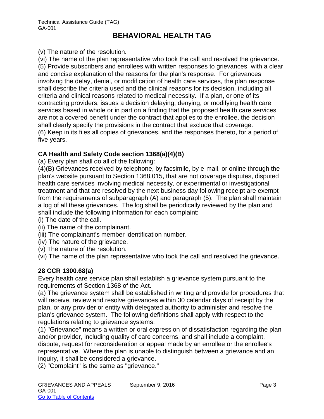(v) The nature of the resolution.

(vi) The name of the plan representative who took the call and resolved the grievance. (5) Provide subscribers and enrollees with written responses to grievances, with a clear and concise explanation of the reasons for the plan's response. For grievances involving the delay, denial, or modification of health care services, the plan response shall describe the criteria used and the clinical reasons for its decision, including all criteria and clinical reasons related to medical necessity. If a plan, or one of its contracting providers, issues a decision delaying, denying, or modifying health care services based in whole or in part on a finding that the proposed health care services are not a covered benefit under the contract that applies to the enrollee, the decision shall clearly specify the provisions in the contract that exclude that coverage. (6) Keep in its files all copies of grievances, and the responses thereto, for a period of five years.

### **CA Health and Safety Code section 1368(a)(4)(B)**

(a) Every plan shall do all of the following:

(4)(B) Grievances received by telephone, by facsimile, by e-mail, or online through the plan's website pursuant to Section 1368.015, that are not coverage disputes, disputed health care services involving medical necessity, or experimental or investigational treatment and that are resolved by the next business day following receipt are exempt from the requirements of subparagraph (A) and paragraph (5). The plan shall maintain a log of all these grievances. The log shall be periodically reviewed by the plan and shall include the following information for each complaint:

(i) The date of the call.

- (ii) The name of the complainant.
- (iii) The complainant's member identification number.
- (iv) The nature of the grievance.
- (v) The nature of the resolution.

(vi) The name of the plan representative who took the call and resolved the grievance.

### **28 CCR 1300.68(a)**

Every health care service plan shall establish a grievance system pursuant to the requirements of Section 1368 of the Act.

(a) The grievance system shall be established in writing and provide for procedures that will receive, review and resolve grievances within 30 calendar days of receipt by the plan, or any provider or entity with delegated authority to administer and resolve the plan's grievance system. The following definitions shall apply with respect to the regulations relating to grievance systems:

(1) "Grievance" means a written or oral expression of dissatisfaction regarding the plan and/or provider, including quality of care concerns, and shall include a complaint, dispute, request for reconsideration or appeal made by an enrollee or the enrollee's representative. Where the plan is unable to distinguish between a grievance and an inquiry, it shall be considered a grievance.

(2) "Complaint" is the same as "grievance."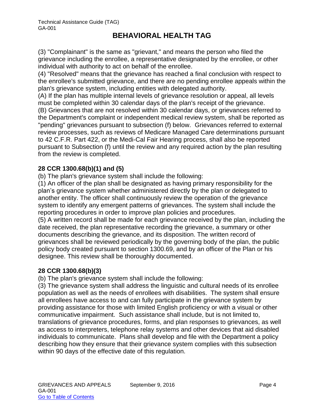(3) "Complainant" is the same as "grievant," and means the person who filed the grievance including the enrollee, a representative designated by the enrollee, or other individual with authority to act on behalf of the enrollee.

(4) "Resolved" means that the grievance has reached a final conclusion with respect to the enrollee's submitted grievance, and there are no pending enrollee appeals within the plan's grievance system, including entities with delegated authority.

(A) If the plan has multiple internal levels of grievance resolution or appeal, all levels must be completed within 30 calendar days of the plan's receipt of the grievance. (B) Grievances that are not resolved within 30 calendar days, or grievances referred to the Department's complaint or independent medical review system, shall be reported as "pending" grievances pursuant to subsection (f) below. Grievances referred to external review processes, such as reviews of Medicare Managed Care determinations pursuant to 42 C.F.R. Part 422, or the Medi-Cal Fair Hearing process, shall also be reported pursuant to Subsection (f) until the review and any required action by the plan resulting from the review is completed.

### **28 CCR 1300.68(b)(1) and (5)**

(b) The plan's grievance system shall include the following:

(1) An officer of the plan shall be designated as having primary responsibility for the plan's grievance system whether administered directly by the plan or delegated to another entity. The officer shall continuously review the operation of the grievance system to identify any emergent patterns of grievances. The system shall include the reporting procedures in order to improve plan policies and procedures.

(5) A written record shall be made for each grievance received by the plan, including the date received, the plan representative recording the grievance, a summary or other documents describing the grievance, and its disposition. The written record of grievances shall be reviewed periodically by the governing body of the plan, the public policy body created pursuant to section 1300.69, and by an officer of the Plan or his designee. This review shall be thoroughly documented.

## **28 CCR 1300.68(b)(3)**

(b) The plan's grievance system shall include the following:

(3) The grievance system shall address the linguistic and cultural needs of its enrollee population as well as the needs of enrollees with disabilities. The system shall ensure all enrollees have access to and can fully participate in the grievance system by providing assistance for those with limited English proficiency or with a visual or other communicative impairment. Such assistance shall include, but is not limited to, translations of grievance procedures, forms, and plan responses to grievances, as well as access to interpreters, telephone relay systems and other devices that aid disabled individuals to communicate. Plans shall develop and file with the Department a policy describing how they ensure that their grievance system complies with this subsection within 90 days of the effective date of this regulation.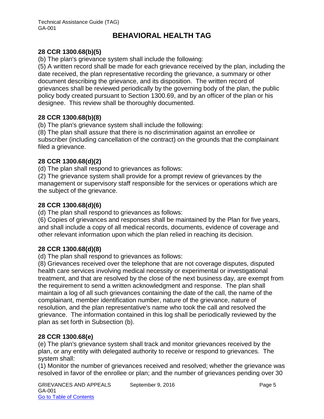## **28 CCR 1300.68(b)(5)**

(b) The plan's grievance system shall include the following:

(5) A written record shall be made for each grievance received by the plan, including the date received, the plan representative recording the grievance, a summary or other document describing the grievance, and its disposition. The written record of grievances shall be reviewed periodically by the governing body of the plan, the public policy body created pursuant to Section 1300.69, and by an officer of the plan or his designee. This review shall be thoroughly documented.

### **28 CCR 1300.68(b)(8)**

(b) The plan's grievance system shall include the following:

(8) The plan shall assure that there is no discrimination against an enrollee or subscriber (including cancellation of the contract) on the grounds that the complainant filed a grievance.

## **28 CCR 1300.68(d)(2)**

(d) The plan shall respond to grievances as follows:

(2) The grievance system shall provide for a prompt review of grievances by the management or supervisory staff responsible for the services or operations which are the subject of the grievance.

### **28 CCR 1300.68(d)(6)**

(d) The plan shall respond to grievances as follows:

(6) Copies of grievances and responses shall be maintained by the Plan for five years, and shall include a copy of all medical records, documents, evidence of coverage and other relevant information upon which the plan relied in reaching its decision.

## **28 CCR 1300.68(d)(8)**

(d) The plan shall respond to grievances as follows:

(8) Grievances received over the telephone that are not coverage disputes, disputed health care services involving medical necessity or experimental or investigational treatment, and that are resolved by the close of the next business day, are exempt from the requirement to send a written acknowledgment and response. The plan shall maintain a log of all such grievances containing the date of the call, the name of the complainant, member identification number, nature of the grievance, nature of resolution, and the plan representative's name who took the call and resolved the grievance. The information contained in this log shall be periodically reviewed by the plan as set forth in Subsection (b).

## **28 CCR 1300.68(e)**

(e) The plan's grievance system shall track and monitor grievances received by the plan, or any entity with delegated authority to receive or respond to grievances. The system shall:

(1) Monitor the number of grievances received and resolved; whether the grievance was resolved in favor of the enrollee or plan; and the number of grievances pending over 30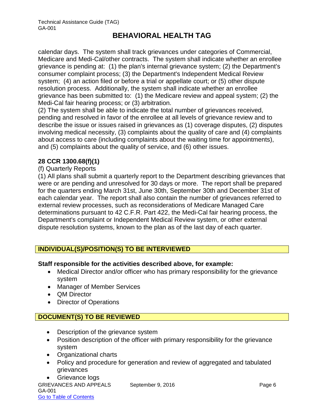calendar days. The system shall track grievances under categories of Commercial, Medicare and Medi-Cal/other contracts. The system shall indicate whether an enrollee grievance is pending at: (1) the plan's internal grievance system; (2) the Department's consumer complaint process; (3) the Department's Independent Medical Review system; (4) an action filed or before a trial or appellate court; or (5) other dispute resolution process. Additionally, the system shall indicate whether an enrollee grievance has been submitted to: (1) the Medicare review and appeal system; (2) the Medi-Cal fair hearing process; or (3) arbitration.

(2) The system shall be able to indicate the total number of grievances received, pending and resolved in favor of the enrollee at all levels of grievance review and to describe the issue or issues raised in grievances as (1) coverage disputes, (2) disputes involving medical necessity, (3) complaints about the quality of care and (4) complaints about access to care (including complaints about the waiting time for appointments), and (5) complaints about the quality of service, and (6) other issues.

## **28 CCR 1300.68(f)(1)**

### (f) Quarterly Reports

(1) All plans shall submit a quarterly report to the Department describing grievances that were or are pending and unresolved for 30 days or more. The report shall be prepared for the quarters ending March 31st, June 30th, September 30th and December 31st of each calendar year. The report shall also contain the number of grievances referred to external review processes, such as reconsiderations of Medicare Managed Care determinations pursuant to 42 C.F.R. Part 422, the Medi-Cal fair hearing process, the Department's complaint or Independent Medical Review system, or other external dispute resolution systems, known to the plan as of the last day of each quarter.

## **INDIVIDUAL(S)/POSITION(S) TO BE INTERVIEWED**

### **Staff responsible for the activities described above, for example:**

- Medical Director and/or officer who has primary responsibility for the grievance system
- Manager of Member Services
- QM Director
- Director of Operations

## **DOCUMENT(S) TO BE REVIEWED**

- Description of the grievance system
- Position description of the officer with primary responsibility for the grievance system
- Organizational charts
- Policy and procedure for generation and review of aggregated and tabulated grievances

```
GRIEVANCES AND APPEALS September 9, 2016 CRIEVANCES AND APPEALS
GA-001
Go to Table of Contents
  • Grievance logs
```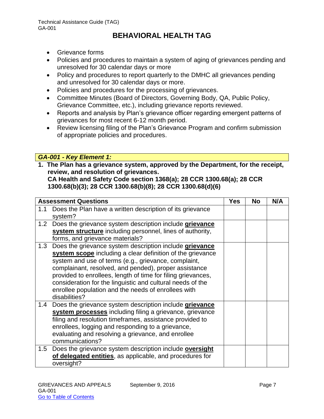- Grievance forms
- Policies and procedures to maintain a system of aging of grievances pending and unresolved for 30 calendar days or more
- Policy and procedures to report quarterly to the DMHC all grievances pending and unresolved for 30 calendar days or more.
- Policies and procedures for the processing of grievances.
- Committee Minutes (Board of Directors, Governing Body, QA, Public Policy, Grievance Committee, etc.), including grievance reports reviewed.
- Reports and analysis by Plan's grievance officer regarding emergent patterns of grievances for most recent 6-12 month period.
- Review licensing filing of the Plan's Grievance Program and confirm submission of appropriate policies and procedures.

### *GA-001 - Key Element 1:*

**1. The Plan has a grievance system, approved by the Department, for the receipt, review, and resolution of grievances. CA Health and Safety Code section 1368(a); 28 CCR 1300.68(a); 28 CCR** 

**1300.68(b)(3); 28 CCR 1300.68(b)(8); 28 CCR 1300.68(d)(6)**

|     | <b>Assessment Questions</b>                                                                                                                                                                                                                                                                                                                                                                                                                  | <b>Yes</b> | <b>No</b> | N/A |
|-----|----------------------------------------------------------------------------------------------------------------------------------------------------------------------------------------------------------------------------------------------------------------------------------------------------------------------------------------------------------------------------------------------------------------------------------------------|------------|-----------|-----|
| 1.1 | Does the Plan have a written description of its grievance<br>system?                                                                                                                                                                                                                                                                                                                                                                         |            |           |     |
| 1.2 | Does the grievance system description include grievance<br>system structure including personnel, lines of authority,<br>forms, and grievance materials?                                                                                                                                                                                                                                                                                      |            |           |     |
| 1.3 | Does the grievance system description include grievance<br>system scope including a clear definition of the grievance<br>system and use of terms (e.g., grievance, complaint,<br>complainant, resolved, and pended), proper assistance<br>provided to enrollees, length of time for filing grievances,<br>consideration for the linguistic and cultural needs of the<br>enrollee population and the needs of enrollees with<br>disabilities? |            |           |     |
| 1.4 | Does the grievance system description include grievance<br>system processes including filing a grievance, grievance<br>filing and resolution timeframes, assistance provided to<br>enrollees, logging and responding to a grievance,<br>evaluating and resolving a grievance, and enrollee<br>communications?                                                                                                                                |            |           |     |
|     | 1.5 Does the grievance system description include oversight<br>of delegated entities, as applicable, and procedures for<br>oversight?                                                                                                                                                                                                                                                                                                        |            |           |     |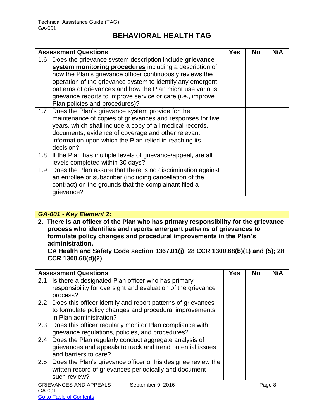|                  | <b>Assessment Questions</b>                                                                                                                                                                                                                                                                                                                                                                                 | Yes | <b>No</b> | N/A |
|------------------|-------------------------------------------------------------------------------------------------------------------------------------------------------------------------------------------------------------------------------------------------------------------------------------------------------------------------------------------------------------------------------------------------------------|-----|-----------|-----|
| 1.6 <sup>1</sup> | Does the grievance system description include grievance<br>system monitoring procedures including a description of<br>how the Plan's grievance officer continuously reviews the<br>operation of the grievance system to identify any emergent<br>patterns of grievances and how the Plan might use various<br>grievance reports to improve service or care (i.e., improve<br>Plan policies and procedures)? |     |           |     |
| 1.7              | Does the Plan's grievance system provide for the<br>maintenance of copies of grievances and responses for five<br>years, which shall include a copy of all medical records,<br>documents, evidence of coverage and other relevant<br>information upon which the Plan relied in reaching its<br>decision?                                                                                                    |     |           |     |
| 1.8              | If the Plan has multiple levels of grievance/appeal, are all<br>levels completed within 30 days?                                                                                                                                                                                                                                                                                                            |     |           |     |
| 1.9 <sup>°</sup> | Does the Plan assure that there is no discrimination against<br>an enrollee or subscriber (including cancellation of the<br>contract) on the grounds that the complainant filed a<br>grievance?                                                                                                                                                                                                             |     |           |     |

## *GA-001 - Key Element 2:*

**2. There is an officer of the Plan who has primary responsibility for the grievance process who identifies and reports emergent patterns of grievances to formulate policy changes and procedural improvements in the Plan's administration.** 

**CA Health and Safety Code section 1367.01(j)**; **28 CCR 1300.68(b)(1) and (5); 28 CCR 1300.68(d)(2)**

| <b>Assessment Questions</b>                                                                                                                            | <b>Yes</b> | <b>No</b> | N/A    |
|--------------------------------------------------------------------------------------------------------------------------------------------------------|------------|-----------|--------|
| Is there a designated Plan officer who has primary<br>2.1<br>responsibility for oversight and evaluation of the grievance<br>process?                  |            |           |        |
| 2.2 Does this officer identify and report patterns of grievances<br>to formulate policy changes and procedural improvements<br>in Plan administration? |            |           |        |
| 2.3 Does this officer regularly monitor Plan compliance with<br>grievance regulations, policies, and procedures?                                       |            |           |        |
| Does the Plan regularly conduct aggregate analysis of<br>2.4<br>grievances and appeals to track and trend potential issues<br>and barriers to care?    |            |           |        |
| 2.5 Does the Plan's grievance officer or his designee review the<br>written record of grievances periodically and document<br>such review?             |            |           |        |
| <b>GRIEVANCES AND APPEALS</b><br>September 9, 2016                                                                                                     |            |           | Page 8 |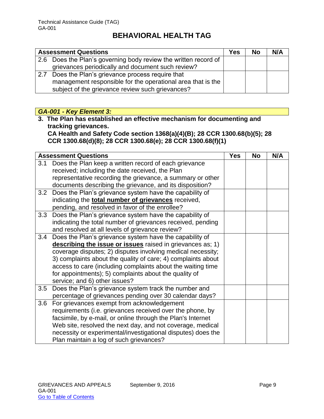|     | <b>Assessment Questions</b>                                     | <b>Yes</b> | <b>No</b> | N/A |
|-----|-----------------------------------------------------------------|------------|-----------|-----|
|     | 2.6 Does the Plan's governing body review the written record of |            |           |     |
|     | grievances periodically and document such review?               |            |           |     |
| 2.7 | Does the Plan's grievance process require that                  |            |           |     |
|     | management responsible for the operational area that is the     |            |           |     |
|     | subject of the grievance review such grievances?                |            |           |     |

## *GA-001 - Key Element 3:*

**3. The Plan has established an effective mechanism for documenting and tracking grievances.** 

**CA Health and Safety Code section 1368(a)(4)(B); 28 CCR 1300.68(b)(5); 28 CCR 1300.68(d)(8); 28 CCR 1300.68(e); 28 CCR 1300.68(f)(1)** 

|     | <b>Assessment Questions</b>                                  | <b>Yes</b> | No | N/A |
|-----|--------------------------------------------------------------|------------|----|-----|
| 3.1 | Does the Plan keep a written record of each grievance        |            |    |     |
|     | received; including the date received, the Plan              |            |    |     |
|     | representative recording the grievance, a summary or other   |            |    |     |
|     | documents describing the grievance, and its disposition?     |            |    |     |
|     | 3.2 Does the Plan's grievance system have the capability of  |            |    |     |
|     | indicating the <b>total number of grievances</b> received,   |            |    |     |
|     | pending, and resolved in favor of the enrollee?              |            |    |     |
| 3.3 | Does the Plan's grievance system have the capability of      |            |    |     |
|     | indicating the total number of grievances received, pending  |            |    |     |
|     | and resolved at all levels of grievance review?              |            |    |     |
| 3.4 | Does the Plan's grievance system have the capability of      |            |    |     |
|     | describing the issue or issues raised in grievances as; 1)   |            |    |     |
|     | coverage disputes; 2) disputes involving medical necessity;  |            |    |     |
|     | 3) complaints about the quality of care; 4) complaints about |            |    |     |
|     | access to care (including complaints about the waiting time  |            |    |     |
|     | for appointments); 5) complaints about the quality of        |            |    |     |
|     | service; and 6) other issues?                                |            |    |     |
| 3.5 | Does the Plan's grievance system track the number and        |            |    |     |
|     | percentage of grievances pending over 30 calendar days?      |            |    |     |
| 3.6 | For grievances exempt from acknowledgement                   |            |    |     |
|     | requirements (i.e. grievances received over the phone, by    |            |    |     |
|     | facsimile, by e-mail, or online through the Plan's Internet  |            |    |     |
|     | Web site, resolved the next day, and not coverage, medical   |            |    |     |
|     | necessity or experimental/investigational disputes) does the |            |    |     |
|     | Plan maintain a log of such grievances?                      |            |    |     |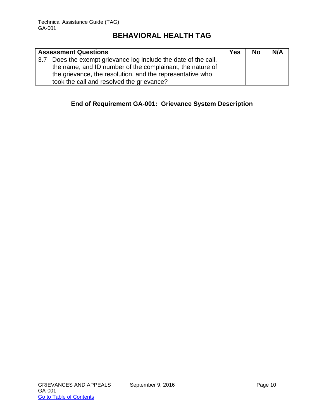|        | <b>Assessment Questions</b>                                 | <b>Yes</b> | <b>No</b> | N/A |
|--------|-------------------------------------------------------------|------------|-----------|-----|
| $-3.7$ | Does the exempt grievance log include the date of the call, |            |           |     |
|        | the name, and ID number of the complainant, the nature of   |            |           |     |
|        | the grievance, the resolution, and the representative who   |            |           |     |
|        | took the call and resolved the grievance?                   |            |           |     |

## **End of Requirement GA-001: Grievance System Description**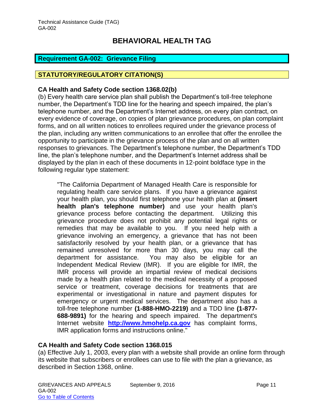### <span id="page-11-0"></span>**Requirement GA-002: Grievance Filing**

#### **STATUTORY/REGULATORY CITATION(S)**

#### **CA Health and Safety Code section 1368.02(b)**

(b) Every health care service plan shall publish the Department's toll-free telephone number, the Department's TDD line for the hearing and speech impaired, the plan's telephone number, and the Department's Internet address, on every plan contract, on every evidence of coverage, on copies of plan grievance procedures, on plan complaint forms, and on all written notices to enrollees required under the grievance process of the plan, including any written communications to an enrollee that offer the enrollee the opportunity to participate in the grievance process of the plan and on all written responses to grievances. The Department's telephone number, the Department's TDD line, the plan's telephone number, and the Department's Internet address shall be displayed by the plan in each of these documents in 12-point boldface type in the following regular type statement:

"The California Department of Managed Health Care is responsible for regulating health care service plans. If you have a grievance against your health plan, you should first telephone your health plan at **(insert health plan's telephone number)** and use your health plan's grievance process before contacting the department. Utilizing this grievance procedure does not prohibit any potential legal rights or remedies that may be available to you. If you need help with a grievance involving an emergency, a grievance that has not been satisfactorily resolved by your health plan, or a grievance that has remained unresolved for more than 30 days, you may call the department for assistance. You may also be eligible for an Independent Medical Review (IMR). If you are eligible for IMR, the IMR process will provide an impartial review of medical decisions made by a health plan related to the medical necessity of a proposed service or treatment, coverage decisions for treatments that are experimental or investigational in nature and payment disputes for emergency or urgent medical services. The department also has a toll-free telephone number **(1-888-HMO-2219)** and a TDD line **(1-877- 688-9891)** for the hearing and speech impaired. The department's Internet website **[http://www.hmohelp.ca.gov](http://www.hmohelp.ca.gov/)** has complaint forms, IMR application forms and instructions online."

### **CA Health and Safety Code section 1368.015**

(a) Effective July 1, 2003, every plan with a website shall provide an online form through its website that subscribers or enrollees can use to file with the plan a grievance, as described in Section 1368, online.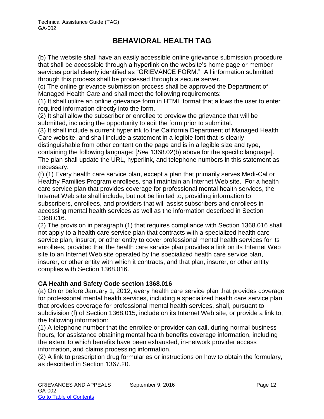(b) The website shall have an easily accessible online grievance submission procedure that shall be accessible through a hyperlink on the website's home page or member services portal clearly identified as "GRIEVANCE FORM." All information submitted through this process shall be processed through a secure server.

(c) The online grievance submission process shall be approved the Department of Managed Health Care and shall meet the following requirements:

(1) It shall utilize an online grievance form in HTML format that allows the user to enter required information directly into the form.

(2) It shall allow the subscriber or enrollee to preview the grievance that will be submitted, including the opportunity to edit the form prior to submittal.

(3) It shall include a current hyperlink to the California Department of Managed Health Care website, and shall include a statement in a legible font that is clearly

distinguishable from other content on the page and is in a legible size and type, containing the following language: [*See* 1368.02(b) above for the specific language]. The plan shall update the URL, hyperlink, and telephone numbers in this statement as necessary.

(f) (1) Every health care service plan, except a plan that primarily serves Medi-Cal or Healthy Families Program enrollees, shall maintain an Internet Web site. For a health care service plan that provides coverage for professional mental health services, the Internet Web site shall include, but not be limited to, providing information to subscribers, enrollees, and providers that will assist subscribers and enrollees in accessing mental health services as well as the information described in Section 1368.016.

(2) The provision in paragraph (1) that requires compliance with Section 1368.016 shall not apply to a health care service plan that contracts with a specialized health care service plan, insurer, or other entity to cover professional mental health services for its enrollees, provided that the health care service plan provides a link on its Internet Web site to an Internet Web site operated by the specialized health care service plan, insurer, or other entity with which it contracts, and that plan, insurer, or other entity complies with Section 1368.016.

## **CA Health and Safety Code section 1368.016**

(a) On or before January 1, 2012, every health care service plan that provides coverage for professional mental health services, including a specialized health care service plan that provides coverage for professional mental health services, shall, pursuant to subdivision (f) of Section 1368.015, include on its Internet Web site, or provide a link to, the following information:

(1) A telephone number that the enrollee or provider can call, during normal business hours, for assistance obtaining mental health benefits coverage information, including the extent to which benefits have been exhausted, in-network provider access information, and claims processing information.

(2) A link to prescription drug formularies or instructions on how to obtain the formulary, as described in Section 1367.20.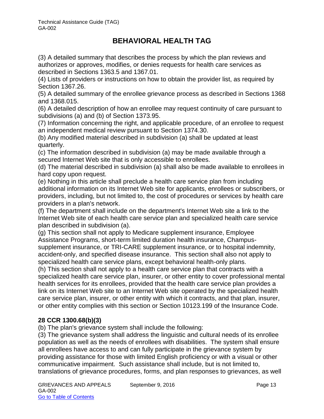(3) A detailed summary that describes the process by which the plan reviews and authorizes or approves, modifies, or denies requests for health care services as described in Sections 1363.5 and 1367.01.

(4) Lists of providers or instructions on how to obtain the provider list, as required by Section 1367.26.

(5) A detailed summary of the enrollee grievance process as described in Sections 1368 and 1368.015.

(6) A detailed description of how an enrollee may request continuity of care pursuant to subdivisions (a) and (b) of Section 1373.95.

(7) Information concerning the right, and applicable procedure, of an enrollee to request an independent medical review pursuant to Section 1374.30.

(b) Any modified material described in subdivision (a) shall be updated at least quarterly.

(c) The information described in subdivision (a) may be made available through a secured Internet Web site that is only accessible to enrollees.

(d) The material described in subdivision (a) shall also be made available to enrollees in hard copy upon request.

(e) Nothing in this article shall preclude a health care service plan from including additional information on its Internet Web site for applicants, enrollees or subscribers, or providers, including, but not limited to, the cost of procedures or services by health care providers in a plan's network.

(f) The department shall include on the department's Internet Web site a link to the Internet Web site of each health care service plan and specialized health care service plan described in subdivision (a).

(g) This section shall not apply to Medicare supplement insurance, Employee Assistance Programs, short-term limited duration health insurance, Champussupplement insurance, or TRI-CARE supplement insurance, or to hospital indemnity, accident-only, and specified disease insurance. This section shall also not apply to specialized health care service plans, except behavioral health-only plans.

(h) This section shall not apply to a health care service plan that contracts with a specialized health care service plan, insurer, or other entity to cover professional mental health services for its enrollees, provided that the health care service plan provides a link on its Internet Web site to an Internet Web site operated by the specialized health care service plan, insurer, or other entity with which it contracts, and that plan, insurer, or other entity complies with this section or Section 10123.199 of the Insurance Code.

## **28 CCR 1300.68(b)(3)**

(b) The plan's grievance system shall include the following:

(3) The grievance system shall address the linguistic and cultural needs of its enrollee population as well as the needs of enrollees with disabilities. The system shall ensure all enrollees have access to and can fully participate in the grievance system by providing assistance for those with limited English proficiency or with a visual or other communicative impairment. Such assistance shall include, but is not limited to, translations of grievance procedures, forms, and plan responses to grievances, as well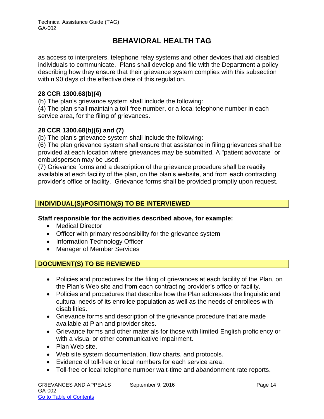as access to interpreters, telephone relay systems and other devices that aid disabled individuals to communicate. Plans shall develop and file with the Department a policy describing how they ensure that their grievance system complies with this subsection within 90 days of the effective date of this regulation.

### **28 CCR 1300.68(b)(4)**

(b) The plan's grievance system shall include the following:

(4) The plan shall maintain a toll-free number, or a local telephone number in each service area, for the filing of grievances.

### **28 CCR 1300.68(b)(6) and (7)**

(b) The plan's grievance system shall include the following:

(6) The plan grievance system shall ensure that assistance in filing grievances shall be provided at each location where grievances may be submitted. A "patient advocate" or ombudsperson may be used.

(7) Grievance forms and a description of the grievance procedure shall be readily available at each facility of the plan, on the plan's website, and from each contracting provider's office or facility. Grievance forms shall be provided promptly upon request.

## **INDIVIDUAL(S)/POSITION(S) TO BE INTERVIEWED**

### **Staff responsible for the activities described above, for example:**

- Medical Director
- Officer with primary responsibility for the grievance system
- Information Technology Officer
- Manager of Member Services

### **DOCUMENT(S) TO BE REVIEWED**

- Policies and procedures for the filing of grievances at each facility of the Plan, on the Plan's Web site and from each contracting provider's office or facility.
- Policies and procedures that describe how the Plan addresses the linguistic and cultural needs of its enrollee population as well as the needs of enrollees with disabilities.
- Grievance forms and description of the grievance procedure that are made available at Plan and provider sites.
- Grievance forms and other materials for those with limited English proficiency or with a visual or other communicative impairment.
- Plan Web site.
- Web site system documentation, flow charts, and protocols.
- Evidence of toll-free or local numbers for each service area.
- Toll-free or local telephone number wait-time and abandonment rate reports.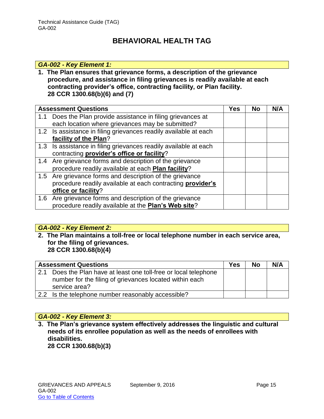#### *GA-002 - Key Element 1:*

**1. The Plan ensures that grievance forms, a description of the grievance procedure, and assistance in filing grievances is readily available at each contracting provider's office, contracting facility, or Plan facility. 28 CCR 1300.68(b)(6) and (7)**

|     | <b>Assessment Questions</b>                                      | Yes | <b>No</b> | N/A |
|-----|------------------------------------------------------------------|-----|-----------|-----|
| 1.1 | Does the Plan provide assistance in filing grievances at         |     |           |     |
|     | each location where grievances may be submitted?                 |     |           |     |
|     | 1.2 Is assistance in filing grievances readily available at each |     |           |     |
|     | facility of the Plan?                                            |     |           |     |
|     | 1.3 Is assistance in filing grievances readily available at each |     |           |     |
|     | contracting provider's office or facility?                       |     |           |     |
|     | 1.4 Are grievance forms and description of the grievance         |     |           |     |
|     | procedure readily available at each Plan facility?               |     |           |     |
|     | 1.5 Are grievance forms and description of the grievance         |     |           |     |
|     | procedure readily available at each contracting provider's       |     |           |     |
|     | office or facility?                                              |     |           |     |
|     | 1.6 Are grievance forms and description of the grievance         |     |           |     |
|     | procedure readily available at the <b>Plan's Web site</b> ?      |     |           |     |

#### *GA-002 - Key Element 2:*

**2. The Plan maintains a toll-free or local telephone number in each service area, for the filing of grievances. 28 CCR 1300.68(b)(4)**

|     | <b>Assessment Questions</b>                                                                                                              | <b>Yes</b> | <b>No</b> | N/A |
|-----|------------------------------------------------------------------------------------------------------------------------------------------|------------|-----------|-----|
| 2.1 | Does the Plan have at least one toll-free or local telephone<br>number for the filing of grievances located within each<br>service area? |            |           |     |
|     | 2.2 Is the telephone number reasonably accessible?                                                                                       |            |           |     |

### *GA-002 - Key Element 3:*

**3. The Plan's grievance system effectively addresses the linguistic and cultural needs of its enrollee population as well as the needs of enrollees with disabilities.** 

**28 CCR 1300.68(b)(3)**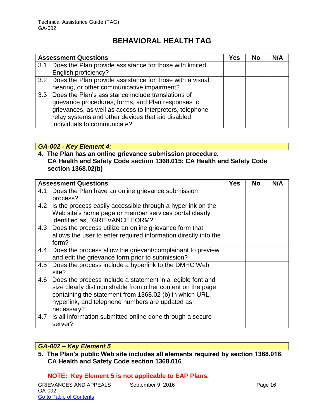|     | <b>Assessment Questions</b>                                   | Yes | No | N/A |
|-----|---------------------------------------------------------------|-----|----|-----|
| 3.1 | Does the Plan provide assistance for those with limited       |     |    |     |
|     | English proficiency?                                          |     |    |     |
|     | 3.2 Does the Plan provide assistance for those with a visual, |     |    |     |
|     | hearing, or other communicative impairment?                   |     |    |     |
|     | 3.3 Does the Plan's assistance include translations of        |     |    |     |
|     | grievance procedures, forms, and Plan responses to            |     |    |     |
|     | grievances, as well as access to interpreters, telephone      |     |    |     |
|     | relay systems and other devices that aid disabled             |     |    |     |
|     | individuals to communicate?                                   |     |    |     |

### *GA-002 - Key Element 4:*

### **4. The Plan has an online grievance submission procedure. CA Health and Safety Code section 1368.015; CA Health and Safety Code section 1368.02(b)**

|     | <b>Assessment Questions</b>                                                                                                                                                                                                                           | <b>Yes</b> | <b>No</b> | N/A |
|-----|-------------------------------------------------------------------------------------------------------------------------------------------------------------------------------------------------------------------------------------------------------|------------|-----------|-----|
| 4.1 | Does the Plan have an online grievance submission<br>process?                                                                                                                                                                                         |            |           |     |
|     | 4.2 Is the process easily accessible through a hyperlink on the<br>Web site's home page or member services portal clearly<br>identified as, "GRIEVANCE FORM?"                                                                                         |            |           |     |
| 4.3 | Does the process utilize an online grievance form that<br>allows the user to enter required information directly into the<br>form?                                                                                                                    |            |           |     |
| 4.4 | Does the process allow the grievant/complainant to preview<br>and edit the grievance form prior to submission?                                                                                                                                        |            |           |     |
| 4.5 | Does the process include a hyperlink to the DMHC Web<br>site?                                                                                                                                                                                         |            |           |     |
| 4.6 | Does the process include a statement in a legible font and<br>size clearly distinguishable from other content on the page<br>containing the statement from 1368.02 (b) in which URL,<br>hyperlink, and telephone numbers are updated as<br>necessary? |            |           |     |
| 4.7 | Is all information submitted online done through a secure<br>server?                                                                                                                                                                                  |            |           |     |

## *GA-002 – Key Element 5*

**5. The Plan's public Web site includes all elements required by section 1368.016. CA Health and Safety Code section 1368.016**

### **NOTE: Key Element 5 is not applicable to EAP Plans.**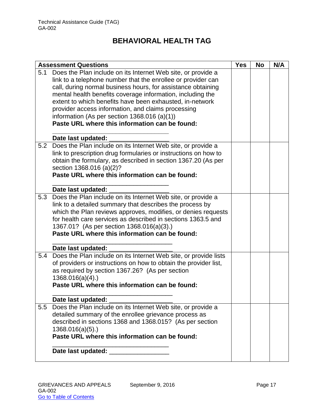|     | <b>Assessment Questions</b>                                      | <b>Yes</b> | <b>No</b> | N/A |
|-----|------------------------------------------------------------------|------------|-----------|-----|
| 5.1 | Does the Plan include on its Internet Web site, or provide a     |            |           |     |
|     | link to a telephone number that the enrollee or provider can     |            |           |     |
|     | call, during normal business hours, for assistance obtaining     |            |           |     |
|     | mental health benefits coverage information, including the       |            |           |     |
|     | extent to which benefits have been exhausted, in-network         |            |           |     |
|     | provider access information, and claims processing               |            |           |     |
|     | information (As per section $1368.016$ (a)(1))                   |            |           |     |
|     | Paste URL where this information can be found:                   |            |           |     |
|     |                                                                  |            |           |     |
|     | Date last updated:                                               |            |           |     |
| 5.2 | Does the Plan include on its Internet Web site, or provide a     |            |           |     |
|     | link to prescription drug formularies or instructions on how to  |            |           |     |
|     | obtain the formulary, as described in section 1367.20 (As per    |            |           |     |
|     | section 1368.016 (a)(2)?                                         |            |           |     |
|     | Paste URL where this information can be found:                   |            |           |     |
|     |                                                                  |            |           |     |
|     | Date last updated:                                               |            |           |     |
| 5.3 | Does the Plan include on its Internet Web site, or provide a     |            |           |     |
|     | link to a detailed summary that describes the process by         |            |           |     |
|     | which the Plan reviews approves, modifies, or denies requests    |            |           |     |
|     | for health care services as described in sections 1363.5 and     |            |           |     |
|     | 1367.01? (As per section 1368.016(a)(3).)                        |            |           |     |
|     | Paste URL where this information can be found:                   |            |           |     |
|     |                                                                  |            |           |     |
|     | Date last updated:                                               |            |           |     |
| 5.4 | Does the Plan include on its Internet Web site, or provide lists |            |           |     |
|     | of providers or instructions on how to obtain the provider list, |            |           |     |
|     | as required by section 1367.26? (As per section                  |            |           |     |
|     | $1368.016(a)(4)$ .)                                              |            |           |     |
|     | Paste URL where this information can be found:                   |            |           |     |
|     |                                                                  |            |           |     |
|     | Date last updated:                                               |            |           |     |
| 5.5 | Does the Plan include on its Internet Web site, or provide a     |            |           |     |
|     | detailed summary of the enrollee grievance process as            |            |           |     |
|     | described in sections 1368 and 1368.015? (As per section         |            |           |     |
|     | 1368.016(a)(5).                                                  |            |           |     |
|     | Paste URL where this information can be found:                   |            |           |     |
|     |                                                                  |            |           |     |
|     | Date last updated: Date last updated:                            |            |           |     |
|     |                                                                  |            |           |     |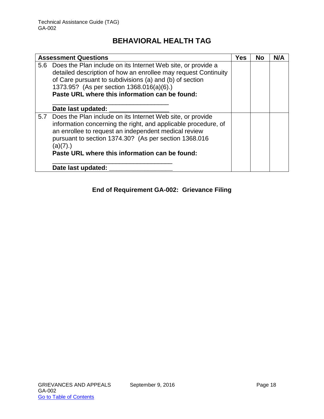| <b>Assessment Questions</b>                                                                                                                                                                                                                                                                                     | Yes | <b>No</b> | N/A |
|-----------------------------------------------------------------------------------------------------------------------------------------------------------------------------------------------------------------------------------------------------------------------------------------------------------------|-----|-----------|-----|
| 5.6 Does the Plan include on its Internet Web site, or provide a<br>detailed description of how an enrollee may request Continuity<br>of Care pursuant to subdivisions (a) and (b) of section<br>1373.95? (As per section 1368.016(a)(6).)<br>Paste URL where this information can be found:                    |     |           |     |
| Date last updated:                                                                                                                                                                                                                                                                                              |     |           |     |
| 5.7 Does the Plan include on its Internet Web site, or provide<br>information concerning the right, and applicable procedure, of<br>an enrollee to request an independent medical review<br>pursuant to section 1374.30? (As per section 1368.016<br>(a)(7).)<br>Paste URL where this information can be found: |     |           |     |
| Date last updated:                                                                                                                                                                                                                                                                                              |     |           |     |

## **End of Requirement GA-002: Grievance Filing**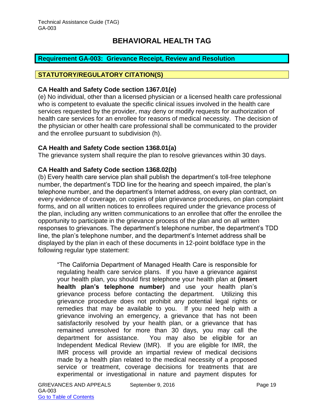### <span id="page-19-0"></span>**Requirement GA-003: Grievance Receipt, Review and Resolution**

#### **STATUTORY/REGULATORY CITATION(S)**

#### **CA Health and Safety Code section 1367.01(e)**

(e) No individual, other than a licensed physician or a licensed health care professional who is competent to evaluate the specific clinical issues involved in the health care services requested by the provider, may deny or modify requests for authorization of health care services for an enrollee for reasons of medical necessity. The decision of the physician or other health care professional shall be communicated to the provider and the enrollee pursuant to subdivision (h).

#### **CA Health and Safety Code section 1368.01(a)**

The grievance system shall require the plan to resolve grievances within 30 days.

#### **CA Health and Safety Code section 1368.02(b)**

(b) Every health care service plan shall publish the department's toll-free telephone number, the department's TDD line for the hearing and speech impaired, the plan's telephone number, and the department's Internet address, on every plan contract, on every evidence of coverage, on copies of plan grievance procedures, on plan complaint forms, and on all written notices to enrollees required under the grievance process of the plan, including any written communications to an enrollee that offer the enrollee the opportunity to participate in the grievance process of the plan and on all written responses to grievances. The department's telephone number, the department's TDD line, the plan's telephone number, and the department's Internet address shall be displayed by the plan in each of these documents in 12-point boldface type in the following regular type statement:

"The California Department of Managed Health Care is responsible for regulating health care service plans. If you have a grievance against your health plan, you should first telephone your health plan at **(insert health plan's telephone number)** and use your health plan's grievance process before contacting the department. Utilizing this grievance procedure does not prohibit any potential legal rights or remedies that may be available to you. If you need help with a grievance involving an emergency, a grievance that has not been satisfactorily resolved by your health plan, or a grievance that has remained unresolved for more than 30 days, you may call the department for assistance. You may also be eligible for an Independent Medical Review (IMR). If you are eligible for IMR, the IMR process will provide an impartial review of medical decisions made by a health plan related to the medical necessity of a proposed service or treatment, coverage decisions for treatments that are experimental or investigational in nature and payment disputes for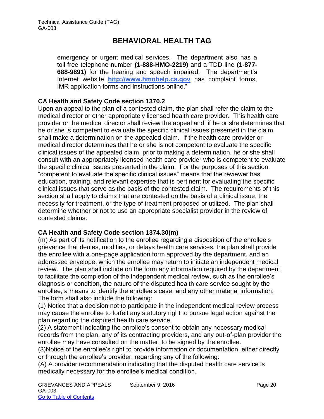emergency or urgent medical services. The department also has a toll-free telephone number **(1-888-HMO-2219)** and a TDD line **(1-877- 688-9891)** for the hearing and speech impaired. The department's Internet website **[http://www.hmohelp.ca.gov](http://www.hmohelp.ca.gov/)** has complaint forms, IMR application forms and instructions online."

### **CA Health and Safety Code section 1370.2**

Upon an appeal to the plan of a contested claim, the plan shall refer the claim to the medical director or other appropriately licensed health care provider. This health care provider or the medical director shall review the appeal and, if he or she determines that he or she is competent to evaluate the specific clinical issues presented in the claim, shall make a determination on the appealed claim. If the health care provider or medical director determines that he or she is not competent to evaluate the specific clinical issues of the appealed claim, prior to making a determination, he or she shall consult with an appropriately licensed health care provider who is competent to evaluate the specific clinical issues presented in the claim. For the purposes of this section, "competent to evaluate the specific clinical issues" means that the reviewer has education, training, and relevant expertise that is pertinent for evaluating the specific clinical issues that serve as the basis of the contested claim. The requirements of this section shall apply to claims that are contested on the basis of a clinical issue, the necessity for treatment, or the type of treatment proposed or utilized. The plan shall determine whether or not to use an appropriate specialist provider in the review of contested claims.

### **CA Health and Safety Code section 1374.30(m)**

(m) As part of its notification to the enrollee regarding a disposition of the enrollee's grievance that denies, modifies, or delays health care services, the plan shall provide the enrollee with a one-page application form approved by the department, and an addressed envelope, which the enrollee may return to initiate an independent medical review. The plan shall include on the form any information required by the department to facilitate the completion of the independent medical review, such as the enrollee's diagnosis or condition, the nature of the disputed health care service sought by the enrollee, a means to identify the enrollee's case, and any other material information. The form shall also include the following:

(1) Notice that a decision not to participate in the independent medical review process may cause the enrollee to forfeit any statutory right to pursue legal action against the plan regarding the disputed health care service.

(2) A statement indicating the enrollee's consent to obtain any necessary medical records from the plan, any of its contracting providers, and any out-of-plan provider the enrollee may have consulted on the matter, to be signed by the enrollee.

(3)Notice of the enrollee's right to provide information or documentation, either directly or through the enrollee's provider, regarding any of the following:

(A) A provider recommendation indicating that the disputed health care service is medically necessary for the enrollee's medical condition.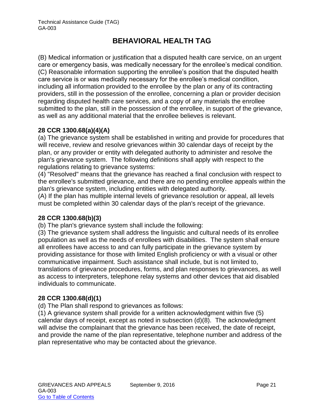(B) Medical information or justification that a disputed health care service, on an urgent care or emergency basis, was medically necessary for the enrollee's medical condition. (C) Reasonable information supporting the enrollee's position that the disputed health care service is or was medically necessary for the enrollee's medical condition, including all information provided to the enrollee by the plan or any of its contracting providers, still in the possession of the enrollee, concerning a plan or provider decision regarding disputed health care services, and a copy of any materials the enrollee submitted to the plan, still in the possession of the enrollee, in support of the grievance, as well as any additional material that the enrollee believes is relevant.

## **28 CCR 1300.68(a)(4)(A)**

(a) The grievance system shall be established in writing and provide for procedures that will receive, review and resolve grievances within 30 calendar days of receipt by the plan, or any provider or entity with delegated authority to administer and resolve the plan's grievance system. The following definitions shall apply with respect to the regulations relating to grievance systems:

(4) "Resolved" means that the grievance has reached a final conclusion with respect to the enrollee's submitted grievance, and there are no pending enrollee appeals within the plan's grievance system, including entities with delegated authority.

(A) If the plan has multiple internal levels of grievance resolution or appeal, all levels must be completed within 30 calendar days of the plan's receipt of the grievance.

## **28 CCR 1300.68(b)(3)**

(b) The plan's grievance system shall include the following:

(3) The grievance system shall address the linguistic and cultural needs of its enrollee population as well as the needs of enrollees with disabilities. The system shall ensure all enrollees have access to and can fully participate in the grievance system by providing assistance for those with limited English proficiency or with a visual or other communicative impairment. Such assistance shall include, but is not limited to, translations of grievance procedures, forms, and plan responses to grievances, as well as access to interpreters, telephone relay systems and other devices that aid disabled individuals to communicate.

## **28 CCR 1300.68(d)(1)**

(d) The Plan shall respond to grievances as follows:

(1) A grievance system shall provide for a written acknowledgment within five (5) calendar days of receipt, except as noted in subsection (d)(8). The acknowledgment will advise the complainant that the grievance has been received, the date of receipt, and provide the name of the plan representative, telephone number and address of the plan representative who may be contacted about the grievance.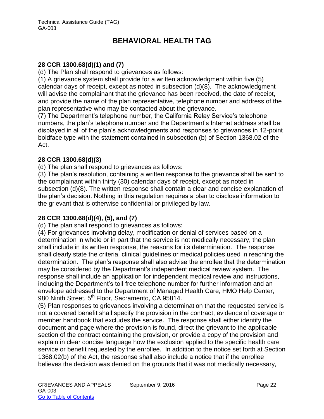### **28 CCR 1300.68(d)(1) and (7)**

(d) The Plan shall respond to grievances as follows:

(1) A grievance system shall provide for a written acknowledgment within five (5) calendar days of receipt, except as noted in subsection (d)(8). The acknowledgment will advise the complainant that the grievance has been received, the date of receipt, and provide the name of the plan representative, telephone number and address of the plan representative who may be contacted about the grievance.

(7) The Department's telephone number, the California Relay Service's telephone numbers, the plan's telephone number and the Department's Internet address shall be displayed in all of the plan's acknowledgments and responses to grievances in 12-point boldface type with the statement contained in subsection (b) of Section 1368.02 of the Act.

### **28 CCR 1300.68(d)(3)**

(d) The plan shall respond to grievances as follows:

(3) The plan's resolution, containing a written response to the grievance shall be sent to the complainant within thirty (30) calendar days of receipt, except as noted in subsection (d)(8). The written response shall contain a clear and concise explanation of the plan's decision. Nothing in this regulation requires a plan to disclose information to the grievant that is otherwise confidential or privileged by law.

## **28 CCR 1300.68(d)(4), (5), and (7)**

(d) The plan shall respond to grievances as follows:

(4) For grievances involving delay, modification or denial of services based on a determination in whole or in part that the service is not medically necessary, the plan shall include in its written response, the reasons for its determination. The response shall clearly state the criteria, clinical guidelines or medical policies used in reaching the determination. The plan's response shall also advise the enrollee that the determination may be considered by the Department's independent medical review system. The response shall include an application for independent medical review and instructions, including the Department's toll-free telephone number for further information and an envelope addressed to the Department of Managed Health Care, HMO Help Center, 980 Ninth Street, 5<sup>th</sup> Floor, Sacramento, CA 95814.

(5) Plan responses to grievances involving a determination that the requested service is not a covered benefit shall specify the provision in the contract, evidence of coverage or member handbook that excludes the service. The response shall either identify the document and page where the provision is found, direct the grievant to the applicable section of the contract containing the provision, or provide a copy of the provision and explain in clear concise language how the exclusion applied to the specific health care service or benefit requested by the enrollee. In addition to the notice set forth at Section 1368.02(b) of the Act, the response shall also include a notice that if the enrollee believes the decision was denied on the grounds that it was not medically necessary,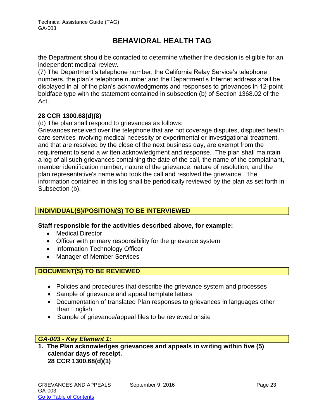the Department should be contacted to determine whether the decision is eligible for an independent medical review.

(7) The Department's telephone number, the California Relay Service's telephone numbers, the plan's telephone number and the Department's Internet address shall be displayed in all of the plan's acknowledgments and responses to grievances in 12-point boldface type with the statement contained in subsection (b) of Section 1368.02 of the Act.

## **28 CCR 1300.68(d)(8)**

(d) The plan shall respond to grievances as follows:

Grievances received over the telephone that are not coverage disputes, disputed health care services involving medical necessity or experimental or investigational treatment, and that are resolved by the close of the next business day, are exempt from the requirement to send a written acknowledgment and response. The plan shall maintain a log of all such grievances containing the date of the call, the name of the complainant, member identification number, nature of the grievance, nature of resolution, and the plan representative's name who took the call and resolved the grievance. The information contained in this log shall be periodically reviewed by the plan as set forth in Subsection (b).

## **INDIVIDUAL(S)/POSITION(S) TO BE INTERVIEWED**

### **Staff responsible for the activities described above, for example:**

- Medical Director
- Officer with primary responsibility for the grievance system
- Information Technology Officer
- Manager of Member Services

## **DOCUMENT(S) TO BE REVIEWED**

- Policies and procedures that describe the grievance system and processes
- Sample of grievance and appeal template letters
- Documentation of translated Plan responses to grievances in languages other than English
- Sample of grievance/appeal files to be reviewed onsite

### *GA-003 - Key Element 1:*

**1. The Plan acknowledges grievances and appeals in writing within five (5) calendar days of receipt. 28 CCR 1300.68(d)(1)**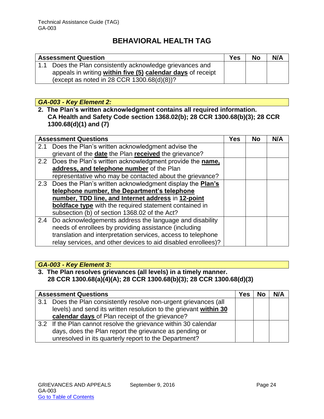| <b>Assessment Question</b>                                                                                               |  | <b>No</b> | N/A |
|--------------------------------------------------------------------------------------------------------------------------|--|-----------|-----|
| 1.1 Does the Plan consistently acknowledge grievances and<br>appeals in writing within five (5) calendar days of receipt |  |           |     |
| (except as noted in 28 CCR $1300.68(d)(8)$ )?                                                                            |  |           |     |

### *GA-003 - Key Element 2:*

**2. The Plan's written acknowledgment contains all required information. CA Health and Safety Code section 1368.02(b); 28 CCR 1300.68(b)(3); 28 CCR 1300.68(d)(1) and (7)**

|               | <b>Assessment Questions</b>                                   | <b>Yes</b> | <b>No</b> | N/A |
|---------------|---------------------------------------------------------------|------------|-----------|-----|
| 2.1           | Does the Plan's written acknowledgment advise the             |            |           |     |
|               | grievant of the date the Plan received the grievance?         |            |           |     |
|               | 2.2 Does the Plan's written acknowledgment provide the name,  |            |           |     |
|               | address, and telephone number of the Plan                     |            |           |     |
|               | representative who may be contacted about the grievance?      |            |           |     |
|               | 2.3 Does the Plan's written acknowledgment display the Plan's |            |           |     |
|               | telephone number, the Department's telephone                  |            |           |     |
|               | number, TDD line, and Internet address in 12-point            |            |           |     |
|               | <b>boldface type</b> with the required statement contained in |            |           |     |
|               | subsection (b) of section 1368.02 of the Act?                 |            |           |     |
| $2.4^{\circ}$ | Do acknowledgements address the language and disability       |            |           |     |
|               | needs of enrollees by providing assistance (including         |            |           |     |
|               | translation and interpretation services, access to telephone  |            |           |     |
|               | relay services, and other devices to aid disabled enrollees)? |            |           |     |

## *GA-003 - Key Element 3:*

## **3. The Plan resolves grievances (all levels) in a timely manner. 28 CCR 1300.68(a)(4)(A); 28 CCR 1300.68(b)(3); 28 CCR 1300.68(d)(3)**

|     | <b>Assessment Questions</b>                                       | <b>Yes</b> | <b>No</b> | N/A |
|-----|-------------------------------------------------------------------|------------|-----------|-----|
| 3.1 | Does the Plan consistently resolve non-urgent grievances (all     |            |           |     |
|     | levels) and send its written resolution to the grievant within 30 |            |           |     |
|     | calendar days of Plan receipt of the grievance?                   |            |           |     |
|     | 3.2 If the Plan cannot resolve the grievance within 30 calendar   |            |           |     |
|     | days, does the Plan report the grievance as pending or            |            |           |     |
|     | unresolved in its quarterly report to the Department?             |            |           |     |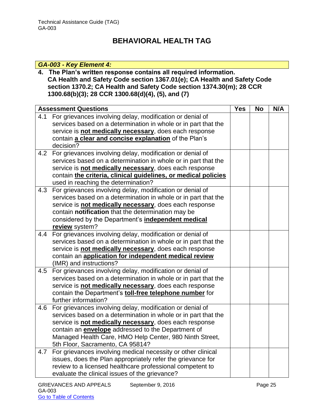## *GA-003 - Key Element 4:*

**4. The Plan's written response contains all required information. CA Health and Safety Code section 1367.01(e); CA Health and Safety Code section 1370.2; CA Health and Safety Code section 1374.30(m); 28 CCR 1300.68(b)(3); 28 CCR 1300.68(d)(4), (5), and (7)**

|     | <b>Assessment Questions</b>                                    |  | <b>No</b> | N/A |
|-----|----------------------------------------------------------------|--|-----------|-----|
| 4.1 | For grievances involving delay, modification or denial of      |  |           |     |
|     | services based on a determination in whole or in part that the |  |           |     |
|     | service is not medically necessary, does each response         |  |           |     |
|     | contain a clear and concise explanation of the Plan's          |  |           |     |
|     | decision?                                                      |  |           |     |
| 4.2 | For grievances involving delay, modification or denial of      |  |           |     |
|     | services based on a determination in whole or in part that the |  |           |     |
|     | service is not medically necessary, does each response         |  |           |     |
|     | contain the criteria, clinical guidelines, or medical policies |  |           |     |
|     | used in reaching the determination?                            |  |           |     |
| 4.3 | For grievances involving delay, modification or denial of      |  |           |     |
|     | services based on a determination in whole or in part that the |  |           |     |
|     | service is not medically necessary, does each response         |  |           |     |
|     | contain notification that the determination may be             |  |           |     |
|     | considered by the Department's independent medical             |  |           |     |
|     | review system?                                                 |  |           |     |
| 4.4 | For grievances involving delay, modification or denial of      |  |           |     |
|     | services based on a determination in whole or in part that the |  |           |     |
|     | service is not medically necessary, does each response         |  |           |     |
|     | contain an application for independent medical review          |  |           |     |
|     | (IMR) and instructions?                                        |  |           |     |
| 4.5 | For grievances involving delay, modification or denial of      |  |           |     |
|     | services based on a determination in whole or in part that the |  |           |     |
|     | service is not medically necessary, does each response         |  |           |     |
|     | contain the Department's toll-free telephone number for        |  |           |     |
|     | further information?                                           |  |           |     |
| 4.6 | For grievances involving delay, modification or denial of      |  |           |     |
|     | services based on a determination in whole or in part that the |  |           |     |
|     | service is not medically necessary, does each response         |  |           |     |
|     | contain an <b>envelope</b> addressed to the Department of      |  |           |     |
|     | Managed Health Care, HMO Help Center, 980 Ninth Street,        |  |           |     |
|     | 5th Floor, Sacramento, CA 95814?                               |  |           |     |
| 4.7 | For grievances involving medical necessity or other clinical   |  |           |     |
|     | issues, does the Plan appropriately refer the grievance for    |  |           |     |
|     | review to a licensed healthcare professional competent to      |  |           |     |
|     | evaluate the clinical issues of the grievance?                 |  |           |     |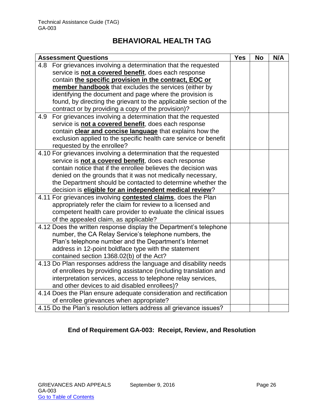| <b>Assessment Questions</b>                                           | <b>Yes</b> | <b>No</b> | N/A |
|-----------------------------------------------------------------------|------------|-----------|-----|
| 4.8 For grievances involving a determination that the requested       |            |           |     |
| service is not a covered benefit, does each response                  |            |           |     |
| contain the specific provision in the contract, EOC or                |            |           |     |
| member handbook that excludes the services (either by                 |            |           |     |
| identifying the document and page where the provision is              |            |           |     |
| found, by directing the grievant to the applicable section of the     |            |           |     |
| contract or by providing a copy of the provision)?                    |            |           |     |
| For grievances involving a determination that the requested<br>4.9    |            |           |     |
| service is not a covered benefit, does each response                  |            |           |     |
| contain clear and concise language that explains how the              |            |           |     |
| exclusion applied to the specific health care service or benefit      |            |           |     |
| requested by the enrollee?                                            |            |           |     |
| 4.10 For grievances involving a determination that the requested      |            |           |     |
| service is not a covered benefit, does each response                  |            |           |     |
| contain notice that if the enrollee believes the decision was         |            |           |     |
| denied on the grounds that it was not medically necessary,            |            |           |     |
| the Department should be contacted to determine whether the           |            |           |     |
| decision is eligible for an independent medical review?               |            |           |     |
| 4.11 For grievances involving <b>contested claims</b> , does the Plan |            |           |     |
| appropriately refer the claim for review to a licensed and            |            |           |     |
| competent health care provider to evaluate the clinical issues        |            |           |     |
| of the appealed claim, as applicable?                                 |            |           |     |
| 4.12 Does the written response display the Department's telephone     |            |           |     |
| number, the CA Relay Service's telephone numbers, the                 |            |           |     |
| Plan's telephone number and the Department's Internet                 |            |           |     |
| address in 12-point boldface type with the statement                  |            |           |     |
| contained section 1368.02(b) of the Act?                              |            |           |     |
| 4.13 Do Plan responses address the language and disability needs      |            |           |     |
| of enrollees by providing assistance (including translation and       |            |           |     |
| interpretation services, access to telephone relay services,          |            |           |     |
| and other devices to aid disabled enrollees)?                         |            |           |     |
| 4.14 Does the Plan ensure adequate consideration and rectification    |            |           |     |
| of enrollee grievances when appropriate?                              |            |           |     |
| 4.15 Do the Plan's resolution letters address all grievance issues?   |            |           |     |

## **End of Requirement GA-003: Receipt, Review, and Resolution**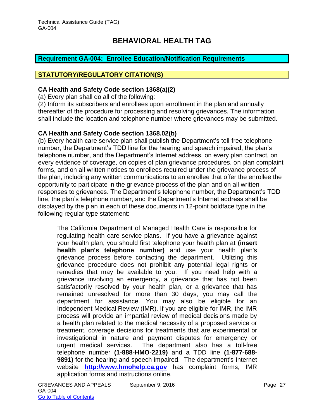### <span id="page-27-0"></span>**Requirement GA-004: Enrollee Education/Notification Requirements**

#### **STATUTORY/REGULATORY CITATION(S)**

#### **CA Health and Safety Code section 1368(a)(2)**

(a) Every plan shall do all of the following:

(2) Inform its subscribers and enrollees upon enrollment in the plan and annually thereafter of the procedure for processing and resolving grievances. The information shall include the location and telephone number where grievances may be submitted.

#### **CA Health and Safety Code section 1368.02(b)**

(b) Every health care service plan shall publish the Department's toll-free telephone number, the Department's TDD line for the hearing and speech impaired, the plan's telephone number, and the Department's Internet address, on every plan contract, on every evidence of coverage, on copies of plan grievance procedures, on plan complaint forms, and on all written notices to enrollees required under the grievance process of the plan, including any written communications to an enrollee that offer the enrollee the opportunity to participate in the grievance process of the plan and on all written responses to grievances. The Department's telephone number, the Department's TDD line, the plan's telephone number, and the Department's Internet address shall be displayed by the plan in each of these documents in 12-point boldface type in the following regular type statement:

The California Department of Managed Health Care is responsible for regulating health care service plans. If you have a grievance against your health plan, you should first telephone your health plan at **(insert health plan's telephone number)** and use your health plan's grievance process before contacting the department. Utilizing this grievance procedure does not prohibit any potential legal rights or remedies that may be available to you. If you need help with a grievance involving an emergency, a grievance that has not been satisfactorily resolved by your health plan, or a grievance that has remained unresolved for more than 30 days, you may call the department for assistance. You may also be eligible for an Independent Medical Review (IMR). If you are eligible for IMR, the IMR process will provide an impartial review of medical decisions made by a health plan related to the medical necessity of a proposed service or treatment, coverage decisions for treatments that are experimental or investigational in nature and payment disputes for emergency or urgent medical services. The department also has a toll-free telephone number **(1-888-HMO-2219)** and a TDD line **(1-877-688- 9891)** for the hearing and speech impaired. The department's Internet website **[http://www.hmohelp.ca.gov](http://www.hmohelp.ca.gov/)** has complaint forms, IMR application forms and instructions online.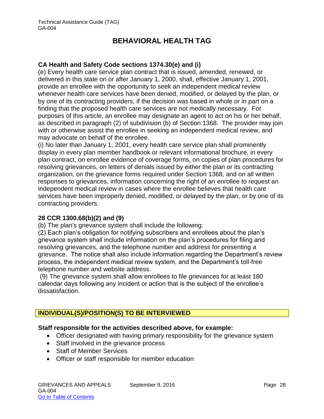### **CA Health and Safety Code sections 1374.30(e) and (i)**

(e) Every health care service plan contract that is issued, amended, renewed, or delivered in this state on or after January 1, 2000, shall, effective January 1, 2001, provide an enrollee with the opportunity to seek an independent medical review whenever health care services have been denied, modified, or delayed by the plan, or by one of its contracting providers, if the decision was based in whole or in part on a finding that the proposed health care services are not medically necessary. For purposes of this article, an enrollee may designate an agent to act on his or her behalf, as described in paragraph (2) of subdivision (b) of Section 1368. The provider may join with or otherwise assist the enrollee in seeking an independent medical review, and may advocate on behalf of the enrollee.

(i) No later than January 1, 2001, every health care service plan shall prominently display in every plan member handbook or relevant informational brochure, in every plan contract, on enrollee evidence of coverage forms, on copies of plan procedures for resolving grievances, on letters of denials issued by either the plan or its contracting organization, on the grievance forms required under Section 1368, and on all written responses to grievances, information concerning the right of an enrollee to request an independent medical review in cases where the enrollee believes that health care services have been improperly denied, modified, or delayed by the plan, or by one of its contracting providers.

### **28 CCR 1300.68(b)(2) and (9)**

(b) The plan's grievance system shall include the following:

(2) Each plan's obligation for notifying subscribers and enrollees about the plan's grievance system shall include information on the plan's procedures for filing and resolving grievances, and the telephone number and address for presenting a grievance. The notice shall also include information regarding the Department's review process, the independent medical review system, and the Department's toll-free telephone number and website address.

(9) The grievance system shall allow enrollees to file grievances for at least 180 calendar days following any incident or action that is the subject of the enrollee's dissatisfaction.

## **INDIVIDUAL(S)/POSITION(S) TO BE INTERVIEWED**

#### **Staff responsible for the activities described above, for example:**

- Officer designated with having primary responsibility for the grievance system
- Staff involved in the grievance process
- Staff of Member Services
- Officer or staff responsible for member education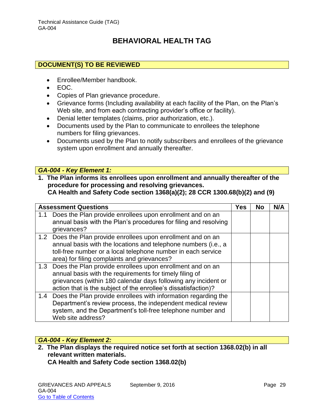### **DOCUMENT(S) TO BE REVIEWED**

- Enrollee/Member handbook.
- EOC.
- Copies of Plan grievance procedure.
- Grievance forms (Including availability at each facility of the Plan, on the Plan's Web site, and from each contracting provider's office or facility).
- Denial letter templates (claims, prior authorization, etc.).
- Documents used by the Plan to communicate to enrollees the telephone numbers for filing grievances.
- Documents used by the Plan to notify subscribers and enrollees of the grievance system upon enrollment and annually thereafter.

#### *GA-004 - Key Element 1:*

**1. The Plan informs its enrollees upon enrollment and annually thereafter of the procedure for processing and resolving grievances.** 

**CA Health and Safety Code section 1368(a)(2); 28 CCR 1300.68(b)(2) and (9)**

|     | <b>Assessment Questions</b>                                                                                                                                                                                                                                  | <b>Yes</b> | <b>No</b> | N/A |
|-----|--------------------------------------------------------------------------------------------------------------------------------------------------------------------------------------------------------------------------------------------------------------|------------|-----------|-----|
| 1.1 | Does the Plan provide enrollees upon enrollment and on an<br>annual basis with the Plan's procedures for filing and resolving<br>grievances?                                                                                                                 |            |           |     |
|     | 1.2 Does the Plan provide enrollees upon enrollment and on an<br>annual basis with the locations and telephone numbers (i.e., a<br>toll-free number or a local telephone number in each service<br>area) for filing complaints and grievances?               |            |           |     |
|     | 1.3 Does the Plan provide enrollees upon enrollment and on an<br>annual basis with the requirements for timely filing of<br>grievances (within 180 calendar days following any incident or<br>action that is the subject of the enrollee's dissatisfaction)? |            |           |     |
| 1.4 | Does the Plan provide enrollees with information regarding the<br>Department's review process, the independent medical review<br>system, and the Department's toll-free telephone number and<br>Web site address?                                            |            |           |     |

### *GA-004 - Key Element 2:*

**2. The Plan displays the required notice set forth at section 1368.02(b) in all relevant written materials. CA Health and Safety Code section 1368.02(b)**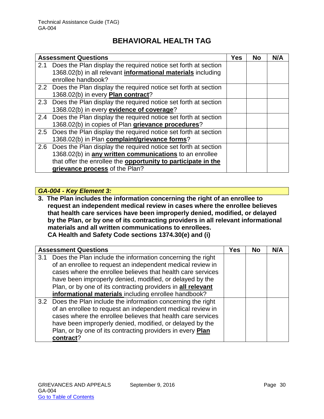|     | <b>Assessment Questions</b>                                          | <b>Yes</b> | <b>No</b> | N/A |
|-----|----------------------------------------------------------------------|------------|-----------|-----|
|     | 2.1 Does the Plan display the required notice set forth at section   |            |           |     |
|     | 1368.02(b) in all relevant <i>informational materials</i> including  |            |           |     |
|     | enrollee handbook?                                                   |            |           |     |
|     | 2.2 Does the Plan display the required notice set forth at section   |            |           |     |
|     | 1368.02(b) in every Plan contract?                                   |            |           |     |
|     | 2.3 Does the Plan display the required notice set forth at section   |            |           |     |
|     | 1368.02(b) in every evidence of coverage?                            |            |           |     |
| 2.4 | Does the Plan display the required notice set forth at section       |            |           |     |
|     | 1368.02(b) in copies of Plan grievance procedures?                   |            |           |     |
| 2.5 | Does the Plan display the required notice set forth at section       |            |           |     |
|     | 1368.02(b) in Plan complaint/grievance forms?                        |            |           |     |
| 2.6 | Does the Plan display the required notice set forth at section       |            |           |     |
|     | 1368.02(b) in any written communications to an enrollee              |            |           |     |
|     | that offer the enrollee the <b>opportunity to participate in the</b> |            |           |     |
|     | grievance process of the Plan?                                       |            |           |     |

## *GA-004 - Key Element 3:*

**3. The Plan includes the information concerning the right of an enrollee to request an independent medical review in cases where the enrollee believes that health care services have been improperly denied, modified, or delayed by the Plan, or by one of its contracting providers in all relevant informational materials and all written communications to enrollees. CA Health and Safety Code sections 1374.30(e) and (i)**

|     | <b>Assessment Questions</b>                                    | <b>Yes</b> | <b>No</b> | N/A |
|-----|----------------------------------------------------------------|------------|-----------|-----|
| 3.1 | Does the Plan include the information concerning the right     |            |           |     |
|     | of an enrollee to request an independent medical review in     |            |           |     |
|     | cases where the enrollee believes that health care services    |            |           |     |
|     | have been improperly denied, modified, or delayed by the       |            |           |     |
|     | Plan, or by one of its contracting providers in all relevant   |            |           |     |
|     | informational materials including enrollee handbook?           |            |           |     |
|     | 3.2 Does the Plan include the information concerning the right |            |           |     |
|     | of an enrollee to request an independent medical review in     |            |           |     |
|     | cases where the enrollee believes that health care services    |            |           |     |
|     | have been improperly denied, modified, or delayed by the       |            |           |     |
|     | Plan, or by one of its contracting providers in every Plan     |            |           |     |
|     | contract?                                                      |            |           |     |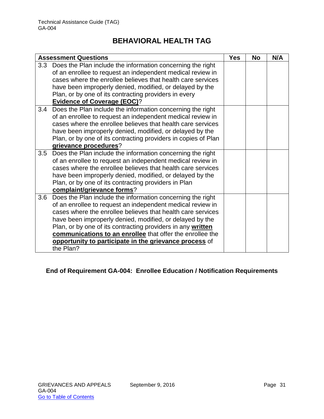|     | <b>Assessment Questions</b>                                    | <b>Yes</b> | <b>No</b> | N/A |
|-----|----------------------------------------------------------------|------------|-----------|-----|
| 3.3 | Does the Plan include the information concerning the right     |            |           |     |
|     | of an enrollee to request an independent medical review in     |            |           |     |
|     | cases where the enrollee believes that health care services    |            |           |     |
|     | have been improperly denied, modified, or delayed by the       |            |           |     |
|     | Plan, or by one of its contracting providers in every          |            |           |     |
|     | <b>Evidence of Coverage (EOC)?</b>                             |            |           |     |
| 3.4 | Does the Plan include the information concerning the right     |            |           |     |
|     | of an enrollee to request an independent medical review in     |            |           |     |
|     | cases where the enrollee believes that health care services    |            |           |     |
|     | have been improperly denied, modified, or delayed by the       |            |           |     |
|     | Plan, or by one of its contracting providers in copies of Plan |            |           |     |
|     | grievance procedures?                                          |            |           |     |
| 3.5 | Does the Plan include the information concerning the right     |            |           |     |
|     | of an enrollee to request an independent medical review in     |            |           |     |
|     | cases where the enrollee believes that health care services    |            |           |     |
|     | have been improperly denied, modified, or delayed by the       |            |           |     |
|     | Plan, or by one of its contracting providers in Plan           |            |           |     |
|     | complaint/grievance forms?                                     |            |           |     |
| 3.6 | Does the Plan include the information concerning the right     |            |           |     |
|     | of an enrollee to request an independent medical review in     |            |           |     |
|     | cases where the enrollee believes that health care services    |            |           |     |
|     | have been improperly denied, modified, or delayed by the       |            |           |     |
|     | Plan, or by one of its contracting providers in any written    |            |           |     |
|     | communications to an enrollee that offer the enrollee the      |            |           |     |
|     | opportunity to participate in the grievance process of         |            |           |     |
|     | the Plan?                                                      |            |           |     |

## **End of Requirement GA-004: Enrollee Education / Notification Requirements**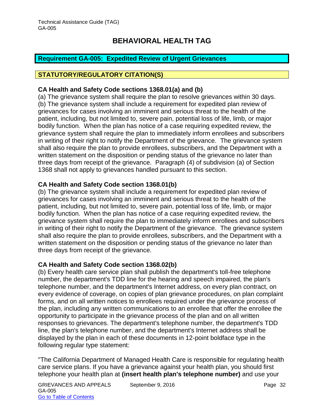### <span id="page-32-0"></span>**Requirement GA-005: Expedited Review of Urgent Grievances**

### **STATUTORY/REGULATORY CITATION(S)**

### **CA Health and Safety Code sections 1368.01(a) and (b)**

(a) The grievance system shall require the plan to resolve grievances within 30 days. (b) The grievance system shall include a requirement for expedited plan review of grievances for cases involving an imminent and serious threat to the health of the patient, including, but not limited to, severe pain, potential loss of life, limb, or major bodily function. When the plan has notice of a case requiring expedited review, the grievance system shall require the plan to immediately inform enrollees and subscribers in writing of their right to notify the Department of the grievance. The grievance system shall also require the plan to provide enrollees, subscribers, and the Department with a written statement on the disposition or pending status of the grievance no later than three days from receipt of the grievance. Paragraph (4) of subdivision (a) of Section 1368 shall not apply to grievances handled pursuant to this section.

#### **CA Health and Safety Code section 1368.01(b)**

(b) The grievance system shall include a requirement for expedited plan review of grievances for cases involving an imminent and serious threat to the health of the patient, including, but not limited to, severe pain, potential loss of life, limb, or major bodily function. When the plan has notice of a case requiring expedited review, the grievance system shall require the plan to immediately inform enrollees and subscribers in writing of their right to notify the Department of the grievance. The grievance system shall also require the plan to provide enrollees, subscribers, and the Department with a written statement on the disposition or pending status of the grievance no later than three days from receipt of the grievance.

### **CA Health and Safety Code section 1368.02(b)**

(b) Every health care service plan shall publish the department's toll-free telephone number, the department's TDD line for the hearing and speech impaired, the plan's telephone number, and the department's Internet address, on every plan contract, on every evidence of coverage, on copies of plan grievance procedures, on plan complaint forms, and on all written notices to enrollees required under the grievance process of the plan, including any written communications to an enrollee that offer the enrollee the opportunity to participate in the grievance process of the plan and on all written responses to grievances. The department's telephone number, the department's TDD line, the plan's telephone number, and the department's Internet address shall be displayed by the plan in each of these documents in 12-point boldface type in the following regular type statement:

"The California Department of Managed Health Care is responsible for regulating health care service plans. If you have a grievance against your health plan, you should first telephone your health plan at **(insert health plan's telephone number)** and use your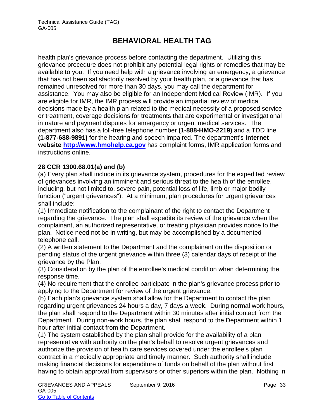health plan's grievance process before contacting the department. Utilizing this grievance procedure does not prohibit any potential legal rights or remedies that may be available to you. If you need help with a grievance involving an emergency, a grievance that has not been satisfactorily resolved by your health plan, or a grievance that has remained unresolved for more than 30 days, you may call the department for assistance. You may also be eligible for an Independent Medical Review (IMR). If you are eligible for IMR, the IMR process will provide an impartial review of medical decisions made by a health plan related to the medical necessity of a proposed service or treatment, coverage decisions for treatments that are experimental or investigational in nature and payment disputes for emergency or urgent medical services. The department also has a toll-free telephone number **(1-888-HMO-2219)** and a TDD line **(1-877-688-9891)** for the hearing and speech impaired. The department's **Internet website [http://www.hmohelp.ca.gov](http://www.hmohelp.ca.gov/)** has complaint forms, IMR application forms and instructions online.

### **28 CCR 1300.68.01(a) and (b)**

(a) Every plan shall include in its grievance system, procedures for the expedited review of grievances involving an imminent and serious threat to the health of the enrollee, including, but not limited to, severe pain, potential loss of life, limb or major bodily function ("urgent grievances"). At a minimum, plan procedures for urgent grievances shall include:

(1) Immediate notification to the complainant of the right to contact the Department regarding the grievance. The plan shall expedite its review of the grievance when the complainant, an authorized representative, or treating physician provides notice to the plan. Notice need not be in writing, but may be accomplished by a documented telephone call.

(2) A written statement to the Department and the complainant on the disposition or pending status of the urgent grievance within three (3) calendar days of receipt of the grievance by the Plan.

(3) Consideration by the plan of the enrollee's medical condition when determining the response time.

(4) No requirement that the enrollee participate in the plan's grievance process prior to applying to the Department for review of the urgent grievance.

(b) Each plan's grievance system shall allow for the Department to contact the plan regarding urgent grievances 24 hours a day, 7 days a week. During normal work hours, the plan shall respond to the Department within 30 minutes after initial contact from the Department. During non-work hours, the plan shall respond to the Department within 1 hour after initial contact from the Department.

(1) The system established by the plan shall provide for the availability of a plan representative with authority on the plan's behalf to resolve urgent grievances and authorize the provision of health care services covered under the enrollee's plan contract in a medically appropriate and timely manner. Such authority shall include making financial decisions for expenditure of funds on behalf of the plan without first having to obtain approval from supervisors or other superiors within the plan. Nothing in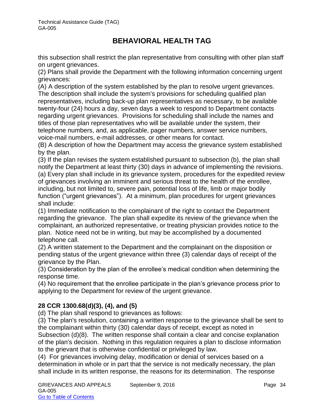this subsection shall restrict the plan representative from consulting with other plan staff on urgent grievances.

(2) Plans shall provide the Department with the following information concerning urgent grievances:

(A) A description of the system established by the plan to resolve urgent grievances. The description shall include the system's provisions for scheduling qualified plan representatives, including back-up plan representatives as necessary, to be available twenty-four (24) hours a day, seven days a week to respond to Department contacts regarding urgent grievances. Provisions for scheduling shall include the names and titles of those plan representatives who will be available under the system, their telephone numbers, and, as applicable, pager numbers, answer service numbers, voice-mail numbers, e-mail addresses, or other means for contact.

(B) A description of how the Department may access the grievance system established by the plan.

(3) If the plan revises the system established pursuant to subsection (b), the plan shall notify the Department at least thirty (30) days in advance of implementing the revisions. (a) Every plan shall include in its grievance system, procedures for the expedited review of grievances involving an imminent and serious threat to the health of the enrollee, including, but not limited to, severe pain, potential loss of life, limb or major bodily function ("urgent grievances"). At a minimum, plan procedures for urgent grievances shall include:

(1) Immediate notification to the complainant of the right to contact the Department regarding the grievance. The plan shall expedite its review of the grievance when the complainant, an authorized representative, or treating physician provides notice to the plan. Notice need not be in writing, but may be accomplished by a documented telephone call.

(2) A written statement to the Department and the complainant on the disposition or pending status of the urgent grievance within three (3) calendar days of receipt of the grievance by the Plan.

(3) Consideration by the plan of the enrollee's medical condition when determining the response time.

(4) No requirement that the enrollee participate in the plan's grievance process prior to applying to the Department for review of the urgent grievance.

## **28 CCR 1300.68(d)(3), (4), and (5)**

(d) The plan shall respond to grievances as follows:

(3) The plan's resolution, containing a written response to the grievance shall be sent to the complainant within thirty (30) calendar days of receipt, except as noted in Subsection (d)(8). The written response shall contain a clear and concise explanation of the plan's decision. Nothing in this regulation requires a plan to disclose information to the grievant that is otherwise confidential or privileged by law.

(4) For grievances involving delay, modification or denial of services based on a determination in whole or in part that the service is not medically necessary, the plan shall include in its written response, the reasons for its determination. The response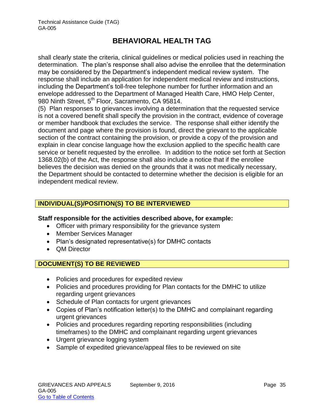shall clearly state the criteria, clinical guidelines or medical policies used in reaching the determination. The plan's response shall also advise the enrollee that the determination may be considered by the Department's independent medical review system. The response shall include an application for independent medical review and instructions, including the Department's toll-free telephone number for further information and an envelope addressed to the Department of Managed Health Care, HMO Help Center, 980 Ninth Street, 5<sup>th</sup> Floor, Sacramento, CA 95814.

(5) Plan responses to grievances involving a determination that the requested service is not a covered benefit shall specify the provision in the contract, evidence of coverage or member handbook that excludes the service. The response shall either identify the document and page where the provision is found, direct the grievant to the applicable section of the contract containing the provision, or provide a copy of the provision and explain in clear concise language how the exclusion applied to the specific health care service or benefit requested by the enrollee. In addition to the notice set forth at Section 1368.02(b) of the Act, the response shall also include a notice that if the enrollee believes the decision was denied on the grounds that it was not medically necessary, the Department should be contacted to determine whether the decision is eligible for an independent medical review.

## **INDIVIDUAL(S)/POSITION(S) TO BE INTERVIEWED**

### **Staff responsible for the activities described above, for example:**

- Officer with primary responsibility for the grievance system
- Member Services Manager
- Plan's designated representative(s) for DMHC contacts
- QM Director

## **DOCUMENT(S) TO BE REVIEWED**

- Policies and procedures for expedited review
- Policies and procedures providing for Plan contacts for the DMHC to utilize regarding urgent grievances
- Schedule of Plan contacts for urgent grievances
- Copies of Plan's notification letter(s) to the DMHC and complainant regarding urgent grievances
- Policies and procedures regarding reporting responsibilities (including timeframes) to the DMHC and complainant regarding urgent grievances
- Urgent grievance logging system
- Sample of expedited grievance/appeal files to be reviewed on site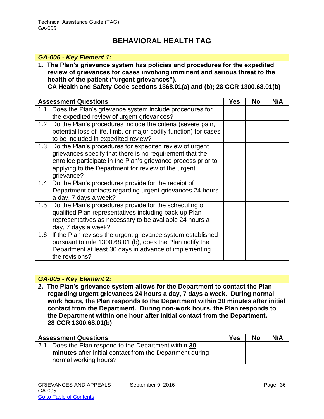#### *GA-005 - Key Element 1:*

**1. The Plan's grievance system has policies and procedures for the expedited review of grievances for cases involving imminent and serious threat to the health of the patient ("urgent grievances").** 

**CA Health and Safety Code sections 1368.01(a) and (b); 28 CCR 1300.68.01(b)**

|     | <b>Assessment Questions</b>                                       | <b>Yes</b> | <b>No</b> | N/A |
|-----|-------------------------------------------------------------------|------------|-----------|-----|
| 1.1 | Does the Plan's grievance system include procedures for           |            |           |     |
|     | the expedited review of urgent grievances?                        |            |           |     |
| 1.2 | Do the Plan's procedures include the criteria (severe pain,       |            |           |     |
|     | potential loss of life, limb, or major bodily function) for cases |            |           |     |
|     | to be included in expedited review?                               |            |           |     |
| 1.3 | Do the Plan's procedures for expedited review of urgent           |            |           |     |
|     | grievances specify that there is no requirement that the          |            |           |     |
|     | enrollee participate in the Plan's grievance process prior to     |            |           |     |
|     | applying to the Department for review of the urgent               |            |           |     |
|     | grievance?                                                        |            |           |     |
| 1.4 | Do the Plan's procedures provide for the receipt of               |            |           |     |
|     | Department contacts regarding urgent grievances 24 hours          |            |           |     |
|     | a day, 7 days a week?                                             |            |           |     |
| 1.5 | Do the Plan's procedures provide for the scheduling of            |            |           |     |
|     | qualified Plan representatives including back-up Plan             |            |           |     |
|     | representatives as necessary to be available 24 hours a           |            |           |     |
|     | day, 7 days a week?                                               |            |           |     |
| 1.6 | If the Plan revises the urgent grievance system established       |            |           |     |
|     | pursuant to rule 1300.68.01 (b), does the Plan notify the         |            |           |     |
|     | Department at least 30 days in advance of implementing            |            |           |     |
|     | the revisions?                                                    |            |           |     |

### *GA-005 - Key Element 2:*

**2. The Plan's grievance system allows for the Department to contact the Plan regarding urgent grievances 24 hours a day, 7 days a week. During normal work hours, the Plan responds to the Department within 30 minutes after initial contact from the Department. During non-work hours, the Plan responds to the Department within one hour after initial contact from the Department. 28 CCR 1300.68.01(b)**

| <b>Assessment Questions</b>                              | <b>Yes</b> | <b>No</b> | N/A |
|----------------------------------------------------------|------------|-----------|-----|
| 2.1 Does the Plan respond to the Department within 30    |            |           |     |
| minutes after initial contact from the Department during |            |           |     |
| normal working hours?                                    |            |           |     |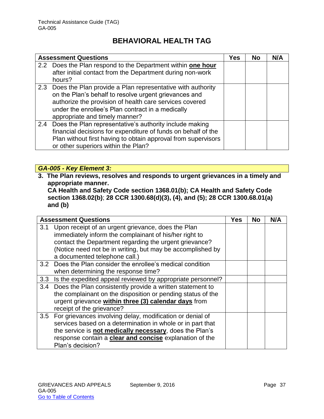|     | <b>Assessment Questions</b>                                                                                                                                                                                                                                               |  | <b>No</b> | N/A |
|-----|---------------------------------------------------------------------------------------------------------------------------------------------------------------------------------------------------------------------------------------------------------------------------|--|-----------|-----|
|     | 2.2 Does the Plan respond to the Department within one hour<br>after initial contact from the Department during non-work<br>hours?                                                                                                                                        |  |           |     |
|     | 2.3 Does the Plan provide a Plan representative with authority<br>on the Plan's behalf to resolve urgent grievances and<br>authorize the provision of health care services covered<br>under the enrollee's Plan contract in a medically<br>appropriate and timely manner? |  |           |     |
| 2.4 | Does the Plan representative's authority include making<br>financial decisions for expenditure of funds on behalf of the<br>Plan without first having to obtain approval from supervisors<br>or other superiors within the Plan?                                          |  |           |     |

## *GA-005 - Key Element 3:*

**3. The Plan reviews, resolves and responds to urgent grievances in a timely and appropriate manner.** 

**CA Health and Safety Code section 1368.01(b); CA Health and Safety Code section 1368.02(b)**; **28 CCR 1300.68(d)(3), (4), and (5); 28 CCR 1300.68.01(a) and (b)**

|     | <b>Assessment Questions</b>                                   | <b>Yes</b> | <b>No</b> | N/A |
|-----|---------------------------------------------------------------|------------|-----------|-----|
| 3.1 | Upon receipt of an urgent grievance, does the Plan            |            |           |     |
|     | immediately inform the complainant of his/her right to        |            |           |     |
|     | contact the Department regarding the urgent grievance?        |            |           |     |
|     | (Notice need not be in writing, but may be accomplished by    |            |           |     |
|     | a documented telephone call.)                                 |            |           |     |
|     | 3.2 Does the Plan consider the enrollee's medical condition   |            |           |     |
|     | when determining the response time?                           |            |           |     |
| 3.3 | Is the expedited appeal reviewed by appropriate personnel?    |            |           |     |
|     | 3.4 Does the Plan consistently provide a written statement to |            |           |     |
|     | the complainant on the disposition or pending status of the   |            |           |     |
|     | urgent grievance within three (3) calendar days from          |            |           |     |
|     | receipt of the grievance?                                     |            |           |     |
|     | 3.5 For grievances involving delay, modification or denial of |            |           |     |
|     | services based on a determination in whole or in part that    |            |           |     |
|     | the service is not medically necessary, does the Plan's       |            |           |     |
|     | response contain a clear and concise explanation of the       |            |           |     |
|     | Plan's decision?                                              |            |           |     |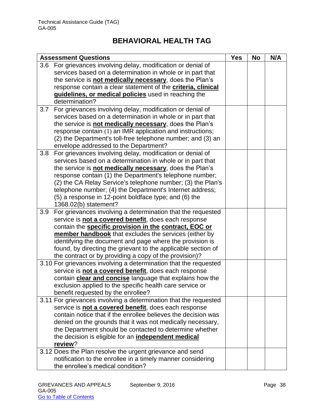| <b>Assessment Questions</b> |                                                                      | <b>Yes</b> | <b>No</b> | N/A |
|-----------------------------|----------------------------------------------------------------------|------------|-----------|-----|
| 3.6                         | For grievances involving delay, modification or denial of            |            |           |     |
|                             | services based on a determination in whole or in part that           |            |           |     |
|                             | the service is not medically necessary, does the Plan's              |            |           |     |
|                             | response contain a clear statement of the <b>criteria</b> , clinical |            |           |     |
|                             | guidelines, or medical policies used in reaching the                 |            |           |     |
|                             | determination?                                                       |            |           |     |
| 3.7                         | For grievances involving delay, modification or denial of            |            |           |     |
|                             | services based on a determination in whole or in part that           |            |           |     |
|                             | the service is not medically necessary, does the Plan's              |            |           |     |
|                             | response contain (1) an IMR application and instructions;            |            |           |     |
|                             | (2) the Department's toll-free telephone number; and (3) an          |            |           |     |
|                             | envelope addressed to the Department?                                |            |           |     |
| 3.8                         | For grievances involving delay, modification or denial of            |            |           |     |
|                             | services based on a determination in whole or in part that           |            |           |     |
|                             | the service is not medically necessary, does the Plan's              |            |           |     |
|                             | response contain (1) the Department's telephone number;              |            |           |     |
|                             | (2) the CA Relay Service's telephone number; (3) the Plan's          |            |           |     |
|                             | telephone number; (4) the Department's Internet address;             |            |           |     |
|                             | (5) a response in 12-point boldface type; and (6) the                |            |           |     |
|                             | 1368.02(b) statement?                                                |            |           |     |
| 3.9                         | For grievances involving a determination that the requested          |            |           |     |
|                             | service is not a covered benefit, does each response                 |            |           |     |
|                             | contain the specific provision in the contract, EOC or               |            |           |     |
|                             | member handbook that excludes the services (either by                |            |           |     |
|                             | identifying the document and page where the provision is             |            |           |     |
|                             | found, by directing the grievant to the applicable section of        |            |           |     |
|                             | the contract or by providing a copy of the provision)?               |            |           |     |
|                             | 3.10 For grievances involving a determination that the requested     |            |           |     |
|                             | service is not a covered benefit, does each response                 |            |           |     |
|                             | contain clear and concise language that explains how the             |            |           |     |
|                             | exclusion applied to the specific health care service or             |            |           |     |
|                             | benefit requested by the enrollee?                                   |            |           |     |
|                             | 3.11 For grievances involving a determination that the requested     |            |           |     |
|                             | service is not a covered benefit, does each response                 |            |           |     |
|                             | contain notice that if the enrollee believes the decision was        |            |           |     |
|                             | denied on the grounds that it was not medically necessary,           |            |           |     |
|                             | the Department should be contacted to determine whether              |            |           |     |
|                             | the decision is eligible for an <i>independent medical</i>           |            |           |     |
|                             | review?                                                              |            |           |     |
|                             | 3.12 Does the Plan resolve the urgent grievance and send             |            |           |     |
|                             | notification to the enrollee in a timely manner considering          |            |           |     |
|                             | the enrollee's medical condition?                                    |            |           |     |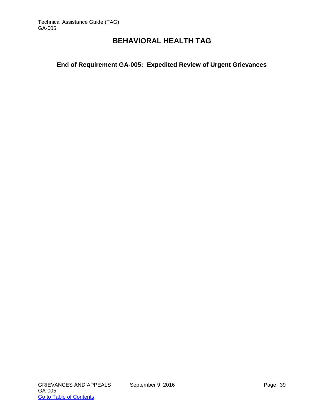## **End of Requirement GA-005: Expedited Review of Urgent Grievances**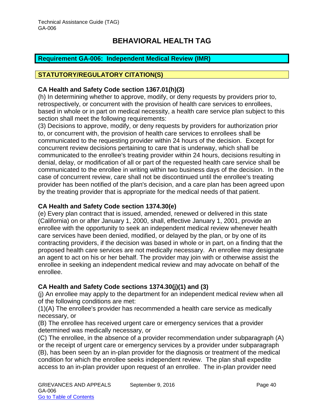## <span id="page-40-0"></span>**Requirement GA-006: Independent Medical Review (IMR)**

### **STATUTORY/REGULATORY CITATION(S)**

### **CA Health and Safety Code section 1367.01(h)(3)**

(h) In determining whether to approve, modify, or deny requests by providers prior to, retrospectively, or concurrent with the provision of health care services to enrollees, based in whole or in part on medical necessity, a health care service plan subject to this section shall meet the following requirements:

(3) Decisions to approve, modify, or deny requests by providers for authorization prior to, or concurrent with, the provision of health care services to enrollees shall be communicated to the requesting provider within 24 hours of the decision. Except for concurrent review decisions pertaining to care that is underway, which shall be communicated to the enrollee's treating provider within 24 hours, decisions resulting in denial, delay, or modification of all or part of the requested health care service shall be communicated to the enrollee in writing within two business days of the decision. In the case of concurrent review, care shall not be discontinued until the enrollee's treating provider has been notified of the plan's decision, and a care plan has been agreed upon by the treating provider that is appropriate for the medical needs of that patient.

### **CA Health and Safety Code section 1374.30(e)**

(e) Every plan contract that is issued, amended, renewed or delivered in this state (California) on or after January 1, 2000, shall, effective January 1, 2001, provide an enrollee with the opportunity to seek an independent medical review whenever health care services have been denied, modified, or delayed by the plan, or by one of its contracting providers, if the decision was based in whole or in part, on a finding that the proposed health care services are not medically necessary. An enrollee may designate an agent to act on his or her behalf. The provider may join with or otherwise assist the enrollee in seeking an independent medical review and may advocate on behalf of the enrollee.

### **CA Health and Safety Code sections 1374.30(j)(1) and (3)**

(j) An enrollee may apply to the department for an independent medical review when all of the following conditions are met:

(1)(A) The enrollee's provider has recommended a health care service as medically necessary, or

(B) The enrollee has received urgent care or emergency services that a provider determined was medically necessary, or

(C) The enrollee, in the absence of a provider recommendation under subparagraph (A) or the receipt of urgent care or emergency services by a provider under subparagraph (B), has been seen by an in-plan provider for the diagnosis or treatment of the medical condition for which the enrollee seeks independent review. The plan shall expedite access to an in-plan provider upon request of an enrollee. The in-plan provider need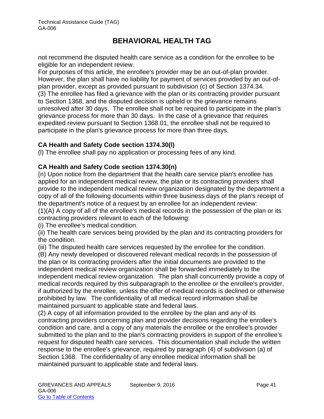not recommend the disputed health care service as a condition for the enrollee to be eligible for an independent review.

For purposes of this article, the enrollee's provider may be an out-of-plan provider. However, the plan shall have no liability for payment of services provided by an out-ofplan provider, except as provided pursuant to subdivision (c) of Section 1374.34. (3) The enrollee has filed a grievance with the plan or its contracting provider pursuant to Section 1368, and the disputed decision is upheld or the grievance remains unresolved after 30 days. The enrollee shall not be required to participate in the plan's grievance process for more than 30 days. In the case of a grievance that requires expedited review pursuant to Section 1368.01, the enrollee shall not be required to participate in the plan's grievance process for more than three days.

### **CA Health and Safety Code section 1374.30(l)**

(l) The enrollee shall pay no application or processing fees of any kind.

### **CA Health and Safety Code section 1374.30(n)**

(n) Upon notice from the department that the health care service plan's enrollee has applied for an independent medical review, the plan or its contracting providers shall provide to the independent medical review organization designated by the department a copy of all of the following documents within three business days of the plan's receipt of the department's notice of a request by an enrollee for an independent review: (1)(A) A copy of all of the enrollee's medical records in the possession of the plan or its contracting providers relevant to each of the following:

(i) The enrollee's medical condition.

(ii) The health care services being provided by the plan and its contracting providers for the condition.

(iii) The disputed health care services requested by the enrollee for the condition.

(B) Any newly developed or discovered relevant medical records in the possession of the plan or its contracting providers after the initial documents are provided to the independent medical review organization shall be forwarded immediately to the independent medical review organization. The plan shall concurrently provide a copy of medical records required by this subparagraph to the enrollee or the enrollee's provider, if authorized by the enrollee, unless the offer of medical records is declined or otherwise prohibited by law. The confidentiality of all medical record information shall be maintained pursuant to applicable state and federal laws.

(2) A copy of all information provided to the enrollee by the plan and any of its contracting providers concerning plan and provider decisions regarding the enrollee's condition and care, and a copy of any materials the enrollee or the enrollee's provider submitted to the plan and to the plan's contracting providers in support of the enrollee's request for disputed health care services. This documentation shall include the written response to the enrollee's grievance, required by paragraph (4) of subdivision (a) of Section 1368. The confidentiality of any enrollee medical information shall be maintained pursuant to applicable state and federal laws.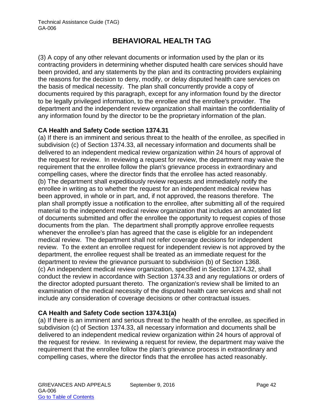(3) A copy of any other relevant documents or information used by the plan or its contracting providers in determining whether disputed health care services should have been provided, and any statements by the plan and its contracting providers explaining the reasons for the decision to deny, modify, or delay disputed health care services on the basis of medical necessity. The plan shall concurrently provide a copy of documents required by this paragraph, except for any information found by the director to be legally privileged information, to the enrollee and the enrollee's provider. The department and the independent review organization shall maintain the confidentiality of any information found by the director to be the proprietary information of the plan.

## **CA Health and Safety Code section 1374.31**

(a) If there is an imminent and serious threat to the health of the enrollee, as specified in subdivision (c) of Section 1374.33, all necessary information and documents shall be delivered to an independent medical review organization within 24 hours of approval of the request for review. In reviewing a request for review, the department may waive the requirement that the enrollee follow the plan's grievance process in extraordinary and compelling cases, where the director finds that the enrollee has acted reasonably. (b) The department shall expeditiously review requests and immediately notify the enrollee in writing as to whether the request for an independent medical review has been approved, in whole or in part, and, if not approved, the reasons therefore. The plan shall promptly issue a notification to the enrollee, after submitting all of the required material to the independent medical review organization that includes an annotated list of documents submitted and offer the enrollee the opportunity to request copies of those documents from the plan. The department shall promptly approve enrollee requests whenever the enrollee's plan has agreed that the case is eligible for an independent medical review. The department shall not refer coverage decisions for independent review. To the extent an enrollee request for independent review is not approved by the department, the enrollee request shall be treated as an immediate request for the department to review the grievance pursuant to subdivision (b) of Section 1368. (c) An independent medical review organization, specified in Section 1374.32, shall conduct the review in accordance with Section 1374.33 and any regulations or orders of the director adopted pursuant thereto. The organization's review shall be limited to an examination of the medical necessity of the disputed health care services and shall not include any consideration of coverage decisions or other contractual issues.

### **CA Health and Safety Code section 1374.31(a)**

(a) If there is an imminent and serious threat to the health of the enrollee, as specified in subdivision (c) of Section 1374.33, all necessary information and documents shall be delivered to an independent medical review organization within 24 hours of approval of the request for review. In reviewing a request for review, the department may waive the requirement that the enrollee follow the plan's grievance process in extraordinary and compelling cases, where the director finds that the enrollee has acted reasonably.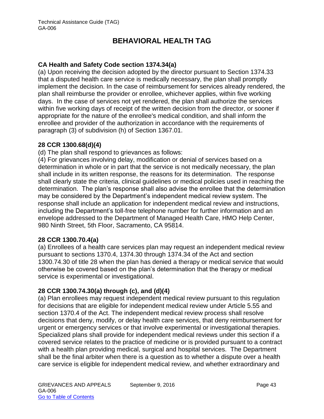## **CA Health and Safety Code section 1374.34(a)**

(a) Upon receiving the decision adopted by the director pursuant to Section 1374.33 that a disputed health care service is medically necessary, the plan shall promptly implement the decision. In the case of reimbursement for services already rendered, the plan shall reimburse the provider or enrollee, whichever applies, within five working days. In the case of services not yet rendered, the plan shall authorize the services within five working days of receipt of the written decision from the director, or sooner if appropriate for the nature of the enrollee's medical condition, and shall inform the enrollee and provider of the authorization in accordance with the requirements of paragraph (3) of subdivision (h) of Section 1367.01.

### **28 CCR 1300.68(d)(4)**

(d) The plan shall respond to grievances as follows:

(4) For grievances involving delay, modification or denial of services based on a determination in whole or in part that the service is not medically necessary, the plan shall include in its written response, the reasons for its determination. The response shall clearly state the criteria, clinical guidelines or medical policies used in reaching the determination. The plan's response shall also advise the enrollee that the determination may be considered by the Department's independent medical review system. The response shall include an application for independent medical review and instructions, including the Department's toll-free telephone number for further information and an envelope addressed to the Department of Managed Health Care, HMO Help Center, 980 Ninth Street, 5th Floor, Sacramento, CA 95814.

### **28 CCR 1300.70.4(a)**

(a) Enrollees of a health care services plan may request an independent medical review pursuant to sections 1370.4, 1374.30 through 1374.34 of the Act and section 1300.74.30 of title 28 when the plan has denied a therapy or medical service that would otherwise be covered based on the plan's determination that the therapy or medical service is experimental or investigational.

## **28 CCR 1300.74.30(a) through (c), and (d)(4)**

(a) Plan enrollees may request independent medical review pursuant to this regulation for decisions that are eligible for independent medical review under Article 5.55 and section 1370.4 of the Act. The independent medical review process shall resolve decisions that deny, modify, or delay health care services, that deny reimbursement for urgent or emergency services or that involve experimental or investigational therapies. Specialized plans shall provide for independent medical reviews under this section if a covered service relates to the practice of medicine or is provided pursuant to a contract with a health plan providing medical, surgical and hospital services. The Department shall be the final arbiter when there is a question as to whether a dispute over a health care service is eligible for independent medical review, and whether extraordinary and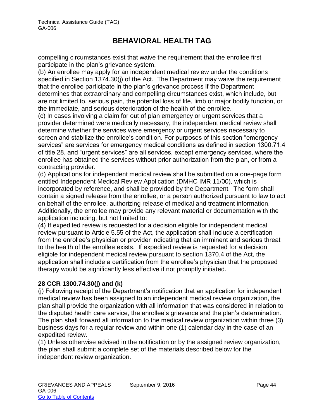compelling circumstances exist that waive the requirement that the enrollee first participate in the plan's grievance system.

(b) An enrollee may apply for an independent medical review under the conditions specified in Section 1374.30(j) of the Act. The Department may waive the requirement that the enrollee participate in the plan's grievance process if the Department determines that extraordinary and compelling circumstances exist, which include, but are not limited to, serious pain, the potential loss of life, limb or major bodily function, or the immediate, and serious deterioration of the health of the enrollee.

(c) In cases involving a claim for out of plan emergency or urgent services that a provider determined were medically necessary, the independent medical review shall determine whether the services were emergency or urgent services necessary to screen and stabilize the enrollee's condition. For purposes of this section "emergency services" are services for emergency medical conditions as defined in section 1300.71.4 of title 28, and "urgent services" are all services, except emergency services, where the enrollee has obtained the services without prior authorization from the plan, or from a contracting provider.

(d) Applications for independent medical review shall be submitted on a one-page form entitled Independent Medical Review Application (DMHC IMR 11/00), which is incorporated by reference, and shall be provided by the Department. The form shall contain a signed release from the enrollee, or a person authorized pursuant to law to act on behalf of the enrollee, authorizing release of medical and treatment information. Additionally, the enrollee may provide any relevant material or documentation with the application including, but not limited to:

(4) If expedited review is requested for a decision eligible for independent medical review pursuant to Article 5.55 of the Act, the application shall include a certification from the enrollee's physician or provider indicating that an imminent and serious threat to the health of the enrollee exists. If expedited review is requested for a decision eligible for independent medical review pursuant to section 1370.4 of the Act, the application shall include a certification from the enrollee's physician that the proposed therapy would be significantly less effective if not promptly initiated.

### **28 CCR 1300.74.30(j) and (k)**

(j) Following receipt of the Department's notification that an application for independent medical review has been assigned to an independent medical review organization, the plan shall provide the organization with all information that was considered in relation to the disputed health care service, the enrollee's grievance and the plan's determination. The plan shall forward all information to the medical review organization within three (3) business days for a regular review and within one (1) calendar day in the case of an expedited review.

(1) Unless otherwise advised in the notification or by the assigned review organization, the plan shall submit a complete set of the materials described below for the independent review organization.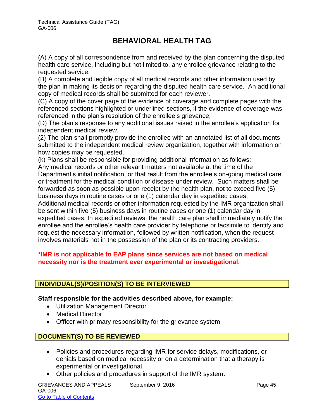(A) A copy of all correspondence from and received by the plan concerning the disputed health care service, including but not limited to, any enrollee grievance relating to the requested service;

(B) A complete and legible copy of all medical records and other information used by the plan in making its decision regarding the disputed health care service. An additional copy of medical records shall be submitted for each reviewer.

(C) A copy of the cover page of the evidence of coverage and complete pages with the referenced sections highlighted or underlined sections, if the evidence of coverage was referenced in the plan's resolution of the enrollee's grievance;

(D) The plan's response to any additional issues raised in the enrollee's application for independent medical review.

(2) The plan shall promptly provide the enrollee with an annotated list of all documents submitted to the independent medical review organization, together with information on how copies may be requested.

(k) Plans shall be responsible for providing additional information as follows:

Any medical records or other relevant matters not available at the time of the Department's initial notification, or that result from the enrollee's on-going medical care or treatment for the medical condition or disease under review. Such matters shall be forwarded as soon as possible upon receipt by the health plan, not to exceed five (5) business days in routine cases or one (1) calendar day in expedited cases,

Additional medical records or other information requested by the IMR organization shall be sent within five (5) business days in routine cases or one (1) calendar day in expedited cases. In expedited reviews, the health care plan shall immediately notify the enrollee and the enrollee's health care provider by telephone or facsimile to identify and request the necessary information, followed by written notification, when the request involves materials not in the possession of the plan or its contracting providers.

### **\*IMR is not applicable to EAP plans since services are not based on medical necessity nor is the treatment ever experimental or investigational.**

## **INDIVIDUAL(S)/POSITION(S) TO BE INTERVIEWED**

**Staff responsible for the activities described above, for example:**

- Utilization Management Director
- Medical Director
- Officer with primary responsibility for the grievance system

### **DOCUMENT(S) TO BE REVIEWED**

- Policies and procedures regarding IMR for service delays, modifications, or denials based on medical necessity or on a determination that a therapy is experimental or investigational.
- Other policies and procedures in support of the IMR system.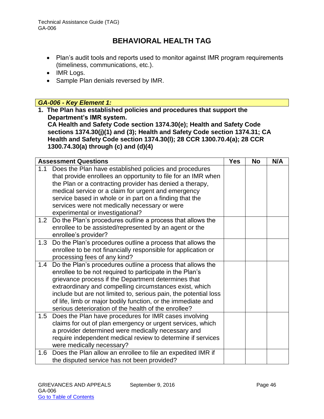- Plan's audit tools and reports used to monitor against IMR program requirements (timeliness, communications, etc.).
- IMR Logs.
- Sample Plan denials reversed by IMR.

### *GA-006 - Key Element 1:*

**1. The Plan has established policies and procedures that support the Department's IMR system.** 

**CA Health and Safety Code section 1374.30(e); Health and Safety Code sections 1374.30(j)(1) and (3); Health and Safety Code section 1374.31; CA Health and Safety Code section 1374.30(l); 28 CCR 1300.70.4(a); 28 CCR 1300.74.30(a) through (c) and (d)(4)** 

| <b>Assessment Questions</b>                                                                                          | <b>Yes</b> | <b>No</b> | N/A |
|----------------------------------------------------------------------------------------------------------------------|------------|-----------|-----|
| Does the Plan have established policies and procedures<br>1.1                                                        |            |           |     |
| that provide enrollees an opportunity to file for an IMR when                                                        |            |           |     |
| the Plan or a contracting provider has denied a therapy,                                                             |            |           |     |
| medical service or a claim for urgent and emergency                                                                  |            |           |     |
| service based in whole or in part on a finding that the                                                              |            |           |     |
| services were not medically necessary or were                                                                        |            |           |     |
| experimental or investigational?                                                                                     |            |           |     |
| Do the Plan's procedures outline a process that allows the<br>1.2                                                    |            |           |     |
| enrollee to be assisted/represented by an agent or the                                                               |            |           |     |
| enrollee's provider?                                                                                                 |            |           |     |
| Do the Plan's procedures outline a process that allows the<br>1.3                                                    |            |           |     |
| enrollee to be not financially responsible for application or                                                        |            |           |     |
| processing fees of any kind?                                                                                         |            |           |     |
| Do the Plan's procedures outline a process that allows the<br>1.4                                                    |            |           |     |
| enrollee to be not required to participate in the Plan's                                                             |            |           |     |
| grievance process if the Department determines that                                                                  |            |           |     |
| extraordinary and compelling circumstances exist, which                                                              |            |           |     |
| include but are not limited to, serious pain, the potential loss                                                     |            |           |     |
| of life, limb or major bodily function, or the immediate and<br>serious deterioration of the health of the enrollee? |            |           |     |
| 1.5                                                                                                                  |            |           |     |
| Does the Plan have procedures for IMR cases involving                                                                |            |           |     |
| claims for out of plan emergency or urgent services, which                                                           |            |           |     |
| a provider determined were medically necessary and                                                                   |            |           |     |
| require independent medical review to determine if services<br>were medically necessary?                             |            |           |     |
| Does the Plan allow an enrollee to file an expedited IMR if<br>1.6                                                   |            |           |     |
| the disputed service has not been provided?                                                                          |            |           |     |
|                                                                                                                      |            |           |     |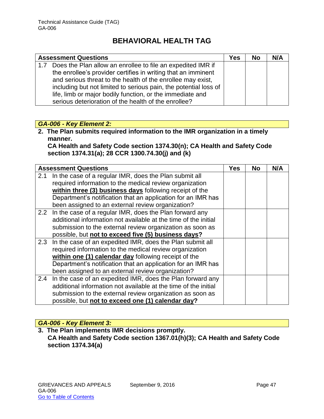| <b>Assessment Questions</b> |                                                                  | Yes | <b>No</b> | N/A |
|-----------------------------|------------------------------------------------------------------|-----|-----------|-----|
| 1.7                         | Does the Plan allow an enrollee to file an expedited IMR if      |     |           |     |
|                             | the enrollee's provider certifies in writing that an imminent    |     |           |     |
|                             | and serious threat to the health of the enrollee may exist,      |     |           |     |
|                             | including but not limited to serious pain, the potential loss of |     |           |     |
|                             | life, limb or major bodily function, or the immediate and        |     |           |     |
|                             | serious deterioration of the health of the enrollee?             |     |           |     |

### *GA-006 - Key Element 2:*

**2. The Plan submits required information to the IMR organization in a timely manner.** 

**CA Health and Safety Code section 1374.30(n); CA Health and Safety Code section 1374.31(a); 28 CCR 1300.74.30(j) and (k)**

|     | <b>Assessment Questions</b>                                     | Yes | No | N/A |
|-----|-----------------------------------------------------------------|-----|----|-----|
| 2.1 | In the case of a regular IMR, does the Plan submit all          |     |    |     |
|     | required information to the medical review organization         |     |    |     |
|     | within three (3) business days following receipt of the         |     |    |     |
|     | Department's notification that an application for an IMR has    |     |    |     |
|     | been assigned to an external review organization?               |     |    |     |
|     | 2.2 In the case of a regular IMR, does the Plan forward any     |     |    |     |
|     | additional information not available at the time of the initial |     |    |     |
|     | submission to the external review organization as soon as       |     |    |     |
|     | possible, but not to exceed five (5) business days?             |     |    |     |
|     | 2.3 In the case of an expedited IMR, does the Plan submit all   |     |    |     |
|     | required information to the medical review organization         |     |    |     |
|     | within one (1) calendar day following receipt of the            |     |    |     |
|     | Department's notification that an application for an IMR has    |     |    |     |
|     | been assigned to an external review organization?               |     |    |     |
| 2.4 | In the case of an expedited IMR, does the Plan forward any      |     |    |     |
|     | additional information not available at the time of the initial |     |    |     |
|     | submission to the external review organization as soon as       |     |    |     |
|     | possible, but not to exceed one (1) calendar day?               |     |    |     |

### *GA-006 - Key Element 3:*

**3. The Plan implements IMR decisions promptly. CA Health and Safety Code section 1367.01(h)(3); CA Health and Safety Code section 1374.34(a)**